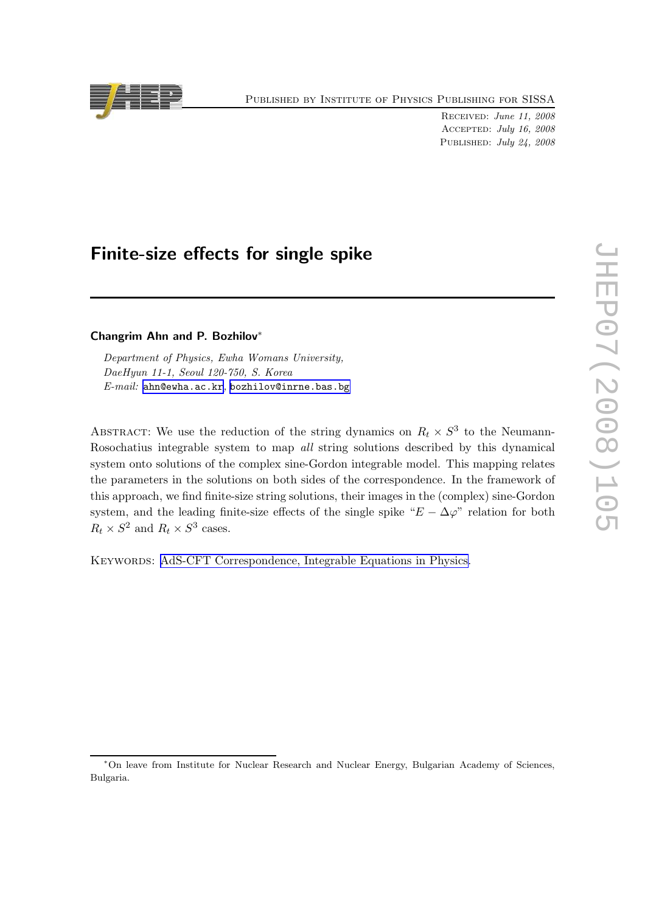Published by Institute of Physics Publishing for SISSA

Received: June 11, 2008 Accepted: July 16, 2008 PUBLISHED: July 24, 2008

# Finite-size effects for single spike

### Changrim Ahn and P. Bozhilov∗

Department of Physics, Ewha Womans University, DaeHyun 11-1, Seoul 120-750, S. Korea E-mail: [ahn@ewha.ac.kr](mailto:ahn@ewha.ac.kr), [bozhilov@inrne.bas.bg](mailto:bozhilov@inrne.bas.bg)

ABSTRACT: We use the reduction of the string dynamics on  $R_t \times S^3$  to the Neumann-Rosochatius integrable system to map all string solutions described by this dynamical system onto solutions of the complex sine-Gordon integrable model. This mapping relates the parameters in the solutions on both sides of the correspondence. In the framework of this approach, we find finite-size string solutions, their images in the (complex) sine-Gordon system, and the leading finite-size effects of the single spike " $E - \Delta \varphi$ " relation for both  $R_t \times S^2$  and  $R_t \times S^3$  cases.

Keywords: [AdS-CFT Correspondence, Integrable Equations in Physics.](http://jhep.sissa.it/stdsearch)

<sup>∗</sup>On leave from Institute for Nuclear Research and Nuclear Energy, Bulgarian Academy of Sciences, Bulgaria.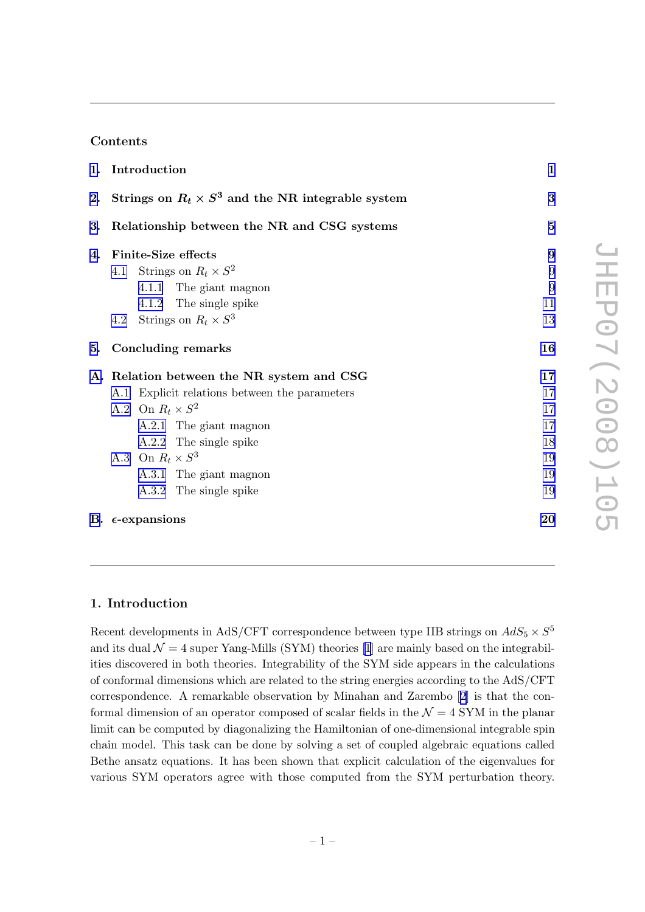## Contents

|    | 1. Introduction                                             | $\mathbf{1}$ |
|----|-------------------------------------------------------------|--------------|
|    | 2. Strings on $R_t \times S^3$ and the NR integrable system | 3            |
|    | 3. Relationship between the NR and CSG systems              | $\bf{5}$     |
| 4. | <b>Finite-Size effects</b>                                  | 9            |
|    | 4.1 Strings on $R_t \times S^2$                             | 9            |
|    | 4.1.1 The giant magnon                                      | 9            |
|    | 4.1.2 The single spike                                      | 11           |
|    | 4.2 Strings on $R_t \times S^3$                             | 13           |
| 5. | <b>Concluding remarks</b>                                   | 16           |
|    | A. Relation between the NR system and CSG                   | 17           |
|    | A.1 Explicit relations between the parameters               | 17           |
|    | A.2 On $R_t \times S^2$                                     | 17           |
|    | A.2.1 The giant magnon                                      | 17           |
|    | A.2.2 The single spike                                      | 18           |
|    | A.3 On $R_t \times S^3$                                     | 19           |
|    | A.3.1 The giant magnon                                      | 19           |
|    | A.3.2 The single spike                                      | 19           |
|    | B. $\epsilon$ -expansions                                   | 20           |

### 1. Introduction

Recent developments in AdS/CFT correspondence between type IIB strings on  $AdS_5 \times S^5$ andits dual  $\mathcal{N} = 4$  super Yang-Mills (SYM) theories [[1](#page-21-0)] are mainly based on the integrabilities discovered in both theories. Integrability of the SYM side appears in the calculations of conformal dimensions which are related to the string energies according to the AdS/CFT correspondence. A remarkable observation by Minahan and Zarembo[[2](#page-21-0)] is that the conformal dimension of an operator composed of scalar fields in the  $\mathcal{N}=4$  SYM in the planar limit can be computed by diagonalizing the Hamiltonian of one-dimensional integrable spin chain model. This task can be done by solving a set of coupled algebraic equations called Bethe ansatz equations. It has been shown that explicit calculation of the eigenvalues for various SYM operators agree with those computed from the SYM perturbation theory.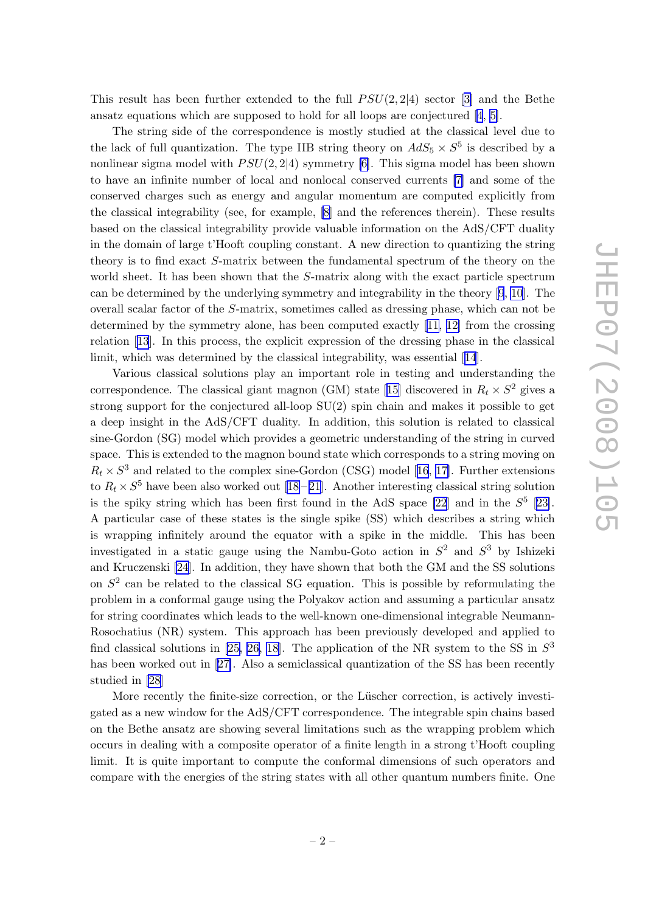This result has been further extended to the full  $PSU(2, 2|4)$  sector [\[3\]](#page-21-0) and the Bethe ansatz equations which are supposed to hold for all loops are conjectured [\[4](#page-21-0), [5\]](#page-21-0).

The string side of the correspondence is mostly studied at the classical level due to the lack of full quantization. The type IIB string theory on  $AdS_5 \times S^5$  is described by a nonlinear sigma model with  $PSU(2, 2|4)$  symmetry [\[6\]](#page-21-0). This sigma model has been shown to have an infinite number of local and nonlocal conserved currents [\[7\]](#page-21-0) and some of the conserved charges such as energy and angular momentum are computed explicitly from the classical integrability (see, for example, [\[8\]](#page-21-0) and the references therein). These results based on the classical integrability provide valuable information on the AdS/CFT duality in the domain of large t'Hooft coupling constant. A new direction to quantizing the string theory is to find exact S-matrix between the fundamental spectrum of the theory on the world sheet. It has been shown that the S-matrix along with the exact particle spectrum can be determined by the underlying symmetry and integrability in the theory[[9](#page-21-0), [10](#page-21-0)]. The overall scalar factor of the S-matrix, sometimes called as dressing phase, which can not be determined by the symmetry alone, has been computed exactly [[11,](#page-21-0) [12\]](#page-22-0) from the crossing relation[[13](#page-22-0)]. In this process, the explicit expression of the dressing phase in the classical limit, which was determined by the classical integrability, was essential[[14](#page-22-0)].

Various classical solutions play an important role in testing and understanding the correspondence.The classical giant magnon (GM) state [[15\]](#page-22-0) discovered in  $R_t \times S^2$  gives a strong support for the conjectured all-loop SU(2) spin chain and makes it possible to get a deep insight in the AdS/CFT duality. In addition, this solution is related to classical sine-Gordon (SG) model which provides a geometric understanding of the string in curved space. This is extended to the magnon bound state which corresponds to a string moving on  $R_t \times S^3$  $R_t \times S^3$  $R_t \times S^3$  and related to the complex sine-Gordon (CSG) model [[16](#page-22-0), [17\]](#page-22-0). Further extensions to  $R_t \times S^5$  have been also worked out [\[18](#page-22-0)-21]. Another interesting classical string solution is the spiky string which has been first found in the AdS space [\[22](#page-22-0)] and in the  $S^5$  [[23\]](#page-22-0). A particular case of these states is the single spike (SS) which describes a string which is wrapping infinitely around the equator with a spike in the middle. This has been investigated in a static gauge using the Nambu-Goto action in  $S^2$  and  $S^3$  by Ishizeki and Kruczenski [\[24\]](#page-22-0). In addition, they have shown that both the GM and the SS solutions on  $S<sup>2</sup>$  can be related to the classical SG equation. This is possible by reformulating the problem in a conformal gauge using the Polyakov action and assuming a particular ansatz for string coordinates which leads to the well-known one-dimensional integrable Neumann-Rosochatius (NR) system. This approach has been previously developed and applied to find classical solutions in [\[25, 26, 18\]](#page-22-0). The application of the NR system to the SS in  $S^3$ hasbeen worked out in [[27\]](#page-22-0). Also a semiclassical quantization of the SS has been recently studied in [\[28](#page-22-0)]

More recently the finite-size correction, or the Lüscher correction, is actively investigated as a new window for the AdS/CFT correspondence. The integrable spin chains based on the Bethe ansatz are showing several limitations such as the wrapping problem which occurs in dealing with a composite operator of a finite length in a strong t'Hooft coupling limit. It is quite important to compute the conformal dimensions of such operators and compare with the energies of the string states with all other quantum numbers finite. One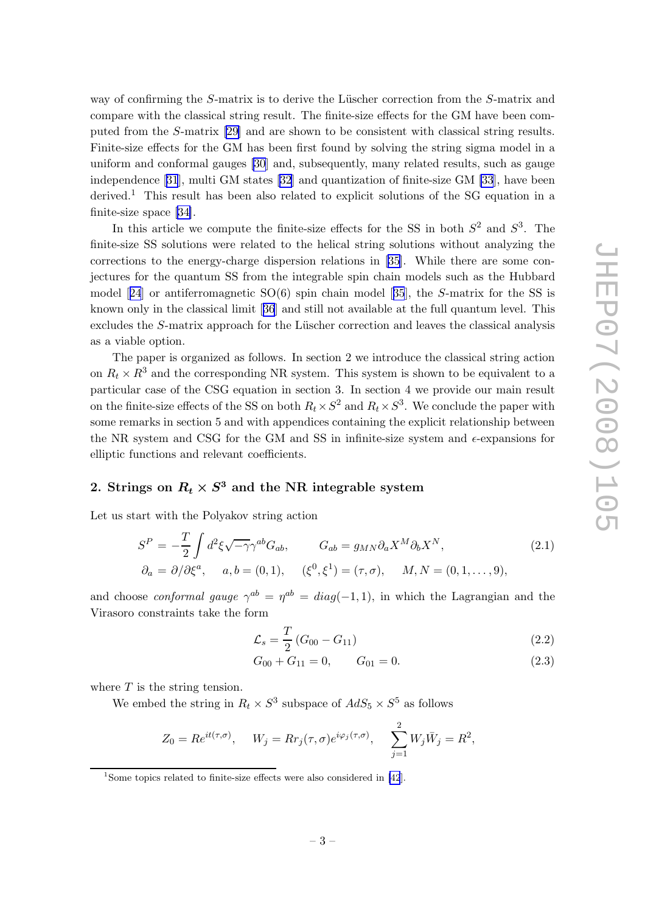<span id="page-3-0"></span>way of confirming the  $S$ -matrix is to derive the Lüscher correction from the  $S$ -matrix and compare with the classical string result. The finite-size effects for the GM have been computed from the S-matrix [\[29\]](#page-22-0) and are shown to be consistent with classical string results. Finite-size effects for the GM has been first found by solving the string sigma model in a uniform and conformal gauges [\[30](#page-22-0)] and, subsequently, many related results, such as gauge independence[[31](#page-22-0)], multi GM states [\[32](#page-23-0)] and quantization of finite-size GM [\[33](#page-23-0)], have been derived.<sup>1</sup> This result has been also related to explicit solutions of the SG equation in a finite-size space [\[34\]](#page-23-0).

In this article we compute the finite-size effects for the SS in both  $S^2$  and  $S^3$ . The finite-size SS solutions were related to the helical string solutions without analyzing the corrections to the energy-charge dispersion relations in [\[35\]](#page-23-0). While there are some conjectures for the quantum SS from the integrable spin chain models such as the Hubbard model[[24](#page-22-0)] or antiferromagnetic SO(6) spin chain model[[35](#page-23-0)], the S-matrix for the SS is known only in the classical limit[[36](#page-23-0)] and still not available at the full quantum level. This excludes the  $S$ -matrix approach for the Lüscher correction and leaves the classical analysis as a viable option.

The paper is organized as follows. In section 2 we introduce the classical string action on  $R_t \times R^3$  and the corresponding NR system. This system is shown to be equivalent to a particular case of the CSG equation in section 3. In section 4 we provide our main result on the finite-size effects of the SS on both  $R_t \times S^2$  and  $R_t \times S^3$ . We conclude the paper with some remarks in section 5 and with appendices containing the explicit relationship between the NR system and CSG for the GM and SS in infinite-size system and  $\epsilon$ -expansions for elliptic functions and relevant coefficients.

## 2. Strings on  $R_t \times S^3$  and the NR integrable system

Let us start with the Polyakov string action

$$
S^{P} = -\frac{T}{2} \int d^{2} \xi \sqrt{-\gamma} \gamma^{ab} G_{ab}, \qquad G_{ab} = g_{MN} \partial_{a} X^{M} \partial_{b} X^{N},
$$
  
\n
$$
\partial_{a} = \partial / \partial \xi^{a}, \qquad a, b = (0, 1), \qquad (\xi^{0}, \xi^{1}) = (\tau, \sigma), \qquad M, N = (0, 1, \dots, 9),
$$
\n(2.1)

and choose *conformal gauge*  $\gamma^{ab} = \eta^{ab} = diag(-1,1)$ , in which the Lagrangian and the Virasoro constraints take the form

$$
\mathcal{L}_s = \frac{T}{2} \left( G_{00} - G_{11} \right) \tag{2.2}
$$

$$
G_{00} + G_{11} = 0, \qquad G_{01} = 0. \tag{2.3}
$$

where  $T$  is the string tension.

We embed the string in  $R_t \times S^3$  subspace of  $AdS_5 \times S^5$  as follows

$$
Z_0 = Re^{it(\tau,\sigma)}, \quad W_j = R r_j(\tau,\sigma) e^{i\varphi_j(\tau,\sigma)}, \quad \sum_{j=1}^2 W_j \bar{W}_j = R^2,
$$

<sup>&</sup>lt;sup>1</sup>Some topics related to finite-size effects were also considered in [\[42](#page-23-0)].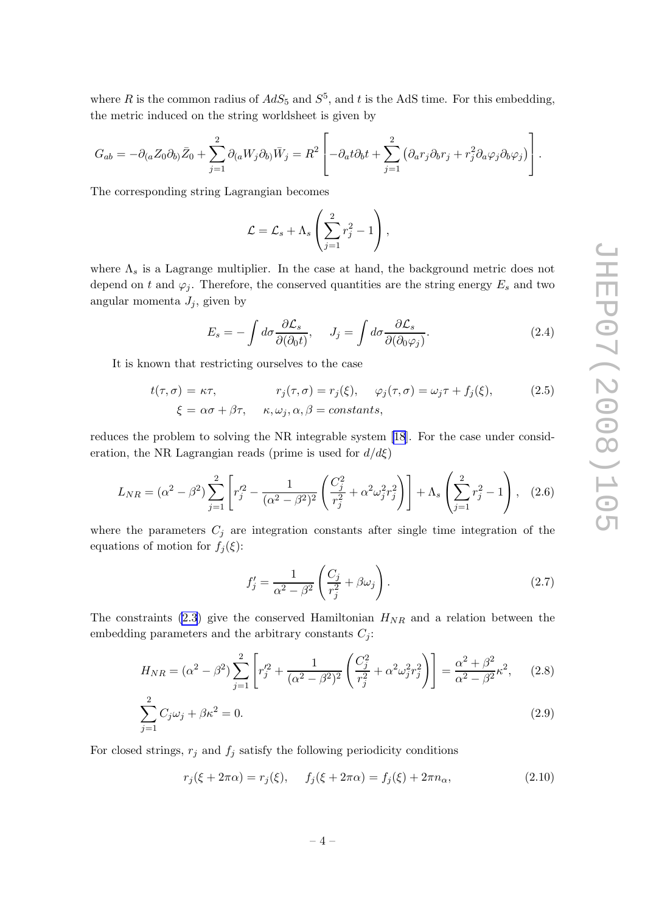<span id="page-4-0"></span>where R is the common radius of  $AdS_5$  and  $S^5$ , and t is the AdS time. For this embedding, the metric induced on the string worldsheet is given by

$$
G_{ab} = -\partial_{(a}Z_0\partial_{b)}\bar{Z}_0 + \sum_{j=1}^2 \partial_{(a}W_j\partial_{b)}\bar{W}_j = R^2 \left[ -\partial_a t \partial_b t + \sum_{j=1}^2 \left( \partial_a r_j \partial_b r_j + r_j^2 \partial_a \varphi_j \partial_b \varphi_j \right) \right].
$$

The corresponding string Lagrangian becomes

$$
\mathcal{L} = \mathcal{L}_s + \Lambda_s \left( \sum_{j=1}^2 r_j^2 - 1 \right),
$$

where  $\Lambda_s$  is a Lagrange multiplier. In the case at hand, the background metric does not depend on t and  $\varphi_j$ . Therefore, the conserved quantities are the string energy  $E_s$  and two angular momenta  $J_i$ , given by

$$
E_s = -\int d\sigma \frac{\partial \mathcal{L}_s}{\partial (\partial_0 t)}, \quad J_j = \int d\sigma \frac{\partial \mathcal{L}_s}{\partial (\partial_0 \varphi_j)}.
$$
 (2.4)

It is known that restricting ourselves to the case

$$
t(\tau,\sigma) = \kappa\tau, \qquad r_j(\tau,\sigma) = r_j(\xi), \quad \varphi_j(\tau,\sigma) = \omega_j\tau + f_j(\xi), \qquad (2.5)
$$

$$
\xi = \alpha\sigma + \beta\tau, \quad \kappa, \omega_j, \alpha, \beta = constants,
$$

reduces the problem to solving the NR integrable system [\[18](#page-22-0)]. For the case under consideration, the NR Lagrangian reads (prime is used for  $d/d\xi$ )

$$
L_{NR} = (\alpha^2 - \beta^2) \sum_{j=1}^2 \left[ r_j'^2 - \frac{1}{(\alpha^2 - \beta^2)^2} \left( \frac{C_j^2}{r_j^2} + \alpha^2 \omega_j^2 r_j^2 \right) \right] + \Lambda_s \left( \sum_{j=1}^2 r_j^2 - 1 \right), \quad (2.6)
$$

where the parameters  $C_j$  are integration constants after single time integration of the equations of motion for  $f_j(\xi)$ :

$$
f_j' = \frac{1}{\alpha^2 - \beta^2} \left( \frac{C_j}{r_j^2} + \beta \omega_j \right). \tag{2.7}
$$

The constraints [\(2.3](#page-3-0)) give the conserved Hamiltonian  $H_{NR}$  and a relation between the embedding parameters and the arbitrary constants  $C_i$ :

$$
H_{NR} = (\alpha^2 - \beta^2) \sum_{j=1}^2 \left[ r_j'^2 + \frac{1}{(\alpha^2 - \beta^2)^2} \left( \frac{C_j^2}{r_j^2} + \alpha^2 \omega_j^2 r_j^2 \right) \right] = \frac{\alpha^2 + \beta^2}{\alpha^2 - \beta^2} \kappa^2, \quad (2.8)
$$

$$
\sum_{j=1}^{2} C_j \omega_j + \beta \kappa^2 = 0.
$$
\n(2.9)

For closed strings,  $r_j$  and  $f_j$  satisfy the following periodicity conditions

$$
r_j(\xi + 2\pi\alpha) = r_j(\xi), \quad f_j(\xi + 2\pi\alpha) = f_j(\xi) + 2\pi n_\alpha,
$$
\n(2.10)

$$
-4-
$$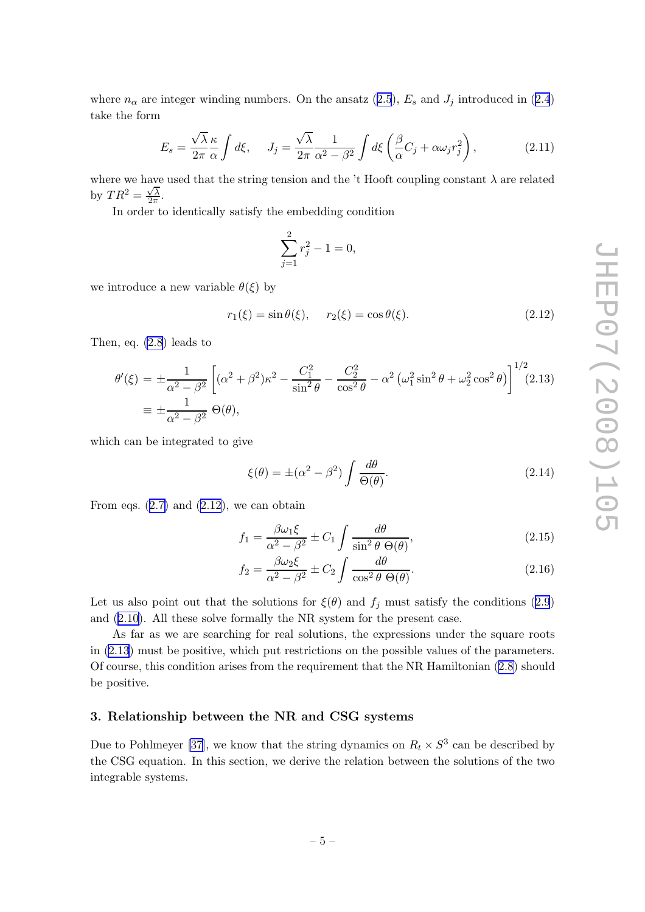<span id="page-5-0"></span>where  $n_{\alpha}$  are integer winding numbers. On the ansatz ([2.5](#page-4-0)),  $E_s$  and  $J_j$  introduced in ([2.4](#page-4-0)) take the form

$$
E_s = \frac{\sqrt{\lambda}}{2\pi} \frac{\kappa}{\alpha} \int d\xi, \quad J_j = \frac{\sqrt{\lambda}}{2\pi} \frac{1}{\alpha^2 - \beta^2} \int d\xi \left(\frac{\beta}{\alpha} C_j + \alpha \omega_j r_j^2\right), \tag{2.11}
$$

where we have used that the string tension and the 't Hooft coupling constant  $\lambda$  are related by  $TR^2 = \frac{\sqrt{\lambda}}{2\pi}$  $\frac{\sqrt{\lambda}}{2\pi}$ .

In order to identically satisfy the embedding condition

$$
\sum_{j=1}^{2} r_j^2 - 1 = 0,
$$

we introduce a new variable  $\theta(\xi)$  by

$$
r_1(\xi) = \sin \theta(\xi), \quad r_2(\xi) = \cos \theta(\xi).
$$
 (2.12)

Then, eq. [\(2.8](#page-4-0)) leads to

$$
\theta'(\xi) = \pm \frac{1}{\alpha^2 - \beta^2} \left[ (\alpha^2 + \beta^2) \kappa^2 - \frac{C_1^2}{\sin^2 \theta} - \frac{C_2^2}{\cos^2 \theta} - \alpha^2 \left( \omega_1^2 \sin^2 \theta + \omega_2^2 \cos^2 \theta \right) \right]^{1/2} (2.13)
$$
  

$$
\equiv \pm \frac{1}{\alpha^2 - \beta^2} \Theta(\theta),
$$

which can be integrated to give

$$
\xi(\theta) = \pm(\alpha^2 - \beta^2) \int \frac{d\theta}{\Theta(\theta)}.\tag{2.14}
$$

From eqs.  $(2.7)$  $(2.7)$  and  $(2.12)$ , we can obtain

$$
f_1 = \frac{\beta \omega_1 \xi}{\alpha^2 - \beta^2} \pm C_1 \int \frac{d\theta}{\sin^2 \theta \Theta(\theta)},
$$
\n(2.15)

$$
f_2 = \frac{\beta \omega_2 \xi}{\alpha^2 - \beta^2} \pm C_2 \int \frac{d\theta}{\cos^2 \theta \Theta(\theta)}.
$$
 (2.16)

Let us also point out that the solutions for  $\xi(\theta)$  and  $f_j$  must satisfy the conditions ([2.9](#page-4-0)) and ([2.10\)](#page-4-0). All these solve formally the NR system for the present case.

As far as we are searching for real solutions, the expressions under the square roots in (2.13) must be positive, which put restrictions on the possible values of the parameters. Of course, this condition arises from the requirement that the NR Hamiltonian ([2.8\)](#page-4-0) should be positive.

#### 3. Relationship between the NR and CSG systems

Due to Pohlmeyer [\[37\]](#page-23-0), we know that the string dynamics on  $R_t \times S^3$  can be described by the CSG equation. In this section, we derive the relation between the solutions of the two integrable systems.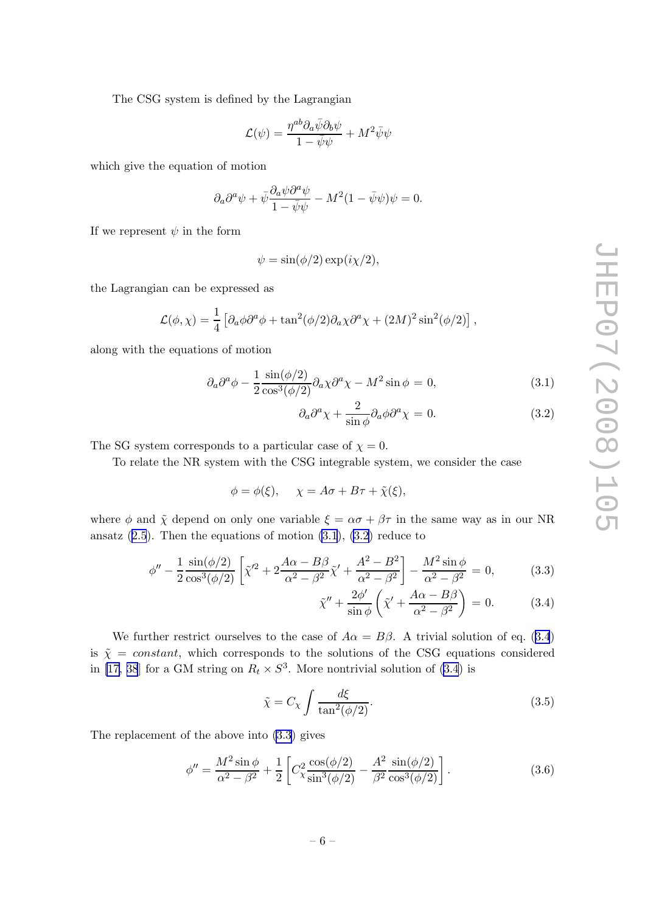<span id="page-6-0"></span>The CSG system is defined by the Lagrangian

$$
\mathcal{L}(\psi) = \frac{\eta^{ab} \partial_a \bar{\psi} \partial_b \psi}{1 - \bar{\psi} \psi} + M^2 \bar{\psi} \psi
$$

which give the equation of motion

$$
\partial_a \partial^a \psi + \bar{\psi} \frac{\partial_a \psi \partial^a \psi}{1 - \bar{\psi} \psi} - M^2 (1 - \bar{\psi} \psi) \psi = 0.
$$

If we represent  $\psi$  in the form

$$
\psi = \sin(\phi/2) \exp(i\chi/2),
$$

the Lagrangian can be expressed as

$$
\mathcal{L}(\phi, \chi) = \frac{1}{4} \left[ \partial_a \phi \partial^a \phi + \tan^2(\phi/2) \partial_a \chi \partial^a \chi + (2M)^2 \sin^2(\phi/2) \right],
$$

along with the equations of motion

$$
\partial_a \partial^a \phi - \frac{1}{2} \frac{\sin(\phi/2)}{\cos^3(\phi/2)} \partial_a \chi \partial^a \chi - M^2 \sin \phi = 0, \tag{3.1}
$$

$$
\partial_a \partial^a \chi + \frac{2}{\sin \phi} \partial_a \phi \partial^a \chi = 0. \tag{3.2}
$$

The SG system corresponds to a particular case of  $\chi = 0$ .

To relate the NR system with the CSG integrable system, we consider the case

$$
\phi = \phi(\xi), \quad \chi = A\sigma + B\tau + \tilde{\chi}(\xi),
$$

where  $\phi$  and  $\tilde{\chi}$  depend on only one variable  $\xi = \alpha \sigma + \beta \tau$  in the same way as in our NR ansatz  $(2.5)$  $(2.5)$  $(2.5)$ . Then the equations of motion  $(3.1)$ ,  $(3.2)$  reduce to

$$
\phi'' - \frac{1}{2} \frac{\sin(\phi/2)}{\cos^3(\phi/2)} \left[ \tilde{\chi}'^2 + 2 \frac{A\alpha - B\beta}{\alpha^2 - \beta^2} \tilde{\chi}' + \frac{A^2 - B^2}{\alpha^2 - \beta^2} \right] - \frac{M^2 \sin \phi}{\alpha^2 - \beta^2} = 0,
$$
 (3.3)

$$
\tilde{\chi}'' + \frac{2\phi'}{\sin\phi} \left( \tilde{\chi}' + \frac{A\alpha - B\beta}{\alpha^2 - \beta^2} \right) = 0. \tag{3.4}
$$

We further restrict ourselves to the case of  $A\alpha = B\beta$ . A trivial solution of eq. (3.4) is  $\tilde{\chi} = constant$ , which corresponds to the solutions of the CSG equations considered in [\[17,](#page-22-0) [38](#page-23-0)] for a GM string on  $R_t \times S^3$ . More nontrivial solution of (3.4) is

$$
\tilde{\chi} = C_{\chi} \int \frac{d\xi}{\tan^2(\phi/2)}.
$$
\n(3.5)

The replacement of the above into (3.3) gives

$$
\phi'' = \frac{M^2 \sin \phi}{\alpha^2 - \beta^2} + \frac{1}{2} \left[ C_{\chi}^2 \frac{\cos(\phi/2)}{\sin^3(\phi/2)} - \frac{A^2}{\beta^2} \frac{\sin(\phi/2)}{\cos^3(\phi/2)} \right].
$$
 (3.6)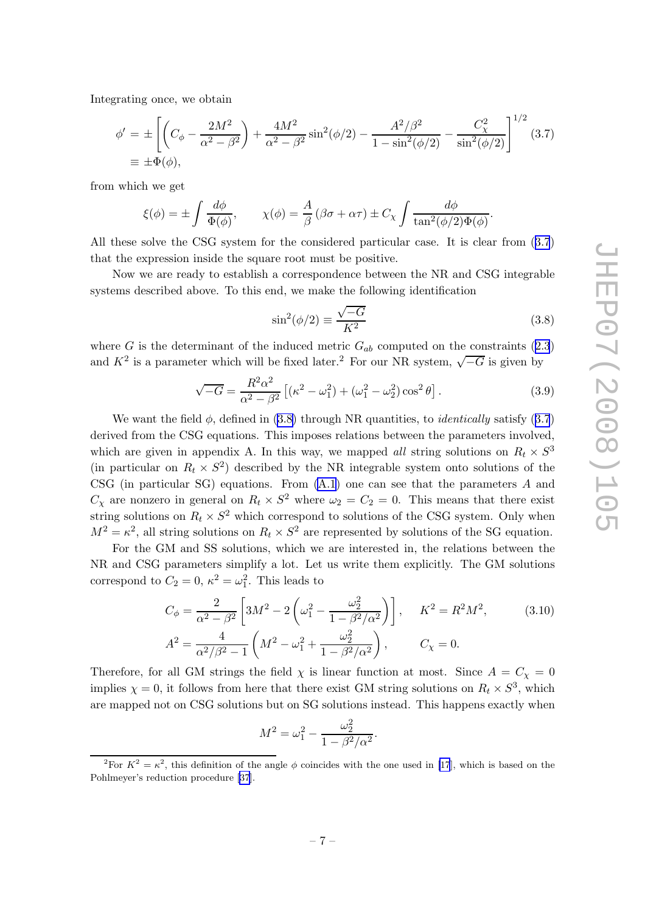<span id="page-7-0"></span>Integrating once, we obtain

$$
\phi' = \pm \left[ \left( C_{\phi} - \frac{2M^2}{\alpha^2 - \beta^2} \right) + \frac{4M^2}{\alpha^2 - \beta^2} \sin^2(\phi/2) - \frac{A^2/\beta^2}{1 - \sin^2(\phi/2)} - \frac{C_{\chi}^2}{\sin^2(\phi/2)} \right]^{1/2} (3.7)
$$
  
\n
$$
\equiv \pm \Phi(\phi),
$$

from which we get

$$
\xi(\phi) = \pm \int \frac{d\phi}{\Phi(\phi)}, \qquad \chi(\phi) = \frac{A}{\beta} (\beta \sigma + \alpha \tau) \pm C_{\chi} \int \frac{d\phi}{\tan^2(\phi/2)\Phi(\phi)}.
$$

All these solve the CSG system for the considered particular case. It is clear from (3.7) that the expression inside the square root must be positive.

Now we are ready to establish a correspondence between the NR and CSG integrable systems described above. To this end, we make the following identification

$$
\sin^2(\phi/2) \equiv \frac{\sqrt{-G}}{K^2} \tag{3.8}
$$

where G is the determinant of the induced metric  $G_{ab}$  computed on the constraints ([2.3](#page-3-0)) and  $K^2$  is a parameter which will be fixed later.<sup>2</sup> For our NR system,  $\sqrt{-G}$  is given by

$$
\sqrt{-G} = \frac{R^2 \alpha^2}{\alpha^2 - \beta^2} \left[ (\kappa^2 - \omega_1^2) + (\omega_1^2 - \omega_2^2) \cos^2 \theta \right].
$$
 (3.9)

We want the field  $\phi$ , defined in (3.8) through NR quantities, to *identically* satisfy (3.7) derived from the CSG equations. This imposes relations between the parameters involved, which are given in appendix A. In this way, we mapped all string solutions on  $R_t \times S^3$ (in particular on  $R_t \times S^2$ ) described by the NR integrable system onto solutions of the CSG (in particular SG) equations. From [\(A.1\)](#page-17-0) one can see that the parameters A and  $C_{\chi}$  are nonzero in general on  $R_t \times S^2$  where  $\omega_2 = C_2 = 0$ . This means that there exist string solutions on  $R_t \times S^2$  which correspond to solutions of the CSG system. Only when  $M^2 = \kappa^2$ , all string solutions on  $R_t \times S^2$  are represented by solutions of the SG equation.

For the GM and SS solutions, which we are interested in, the relations between the NR and CSG parameters simplify a lot. Let us write them explicitly. The GM solutions correspond to  $C_2 = 0$ ,  $\kappa^2 = \omega_1^2$ . This leads to

$$
C_{\phi} = \frac{2}{\alpha^2 - \beta^2} \left[ 3M^2 - 2\left(\omega_1^2 - \frac{\omega_2^2}{1 - \beta^2/\alpha^2}\right) \right], \quad K^2 = R^2 M^2,
$$
\n
$$
A^2 = \frac{4}{\alpha^2/\beta^2 - 1} \left( M^2 - \omega_1^2 + \frac{\omega_2^2}{1 - \beta^2/\alpha^2} \right), \qquad C_{\chi} = 0.
$$
\n(3.10)

Therefore, for all GM strings the field  $\chi$  is linear function at most. Since  $A = C_{\chi} = 0$ implies  $\chi = 0$ , it follows from here that there exist GM string solutions on  $R_t \times S^3$ , which are mapped not on CSG solutions but on SG solutions instead. This happens exactly when

$$
M^{2} = \omega_{1}^{2} - \frac{\omega_{2}^{2}}{1 - \beta^{2}/\alpha^{2}}.
$$

<sup>&</sup>lt;sup>2</sup>For  $K^2 = \kappa^2$ , this definition of the angle  $\phi$  coincides with the one used in [\[17](#page-22-0)], which is based on the Pohlmeyer's reduction procedure [\[37](#page-23-0)].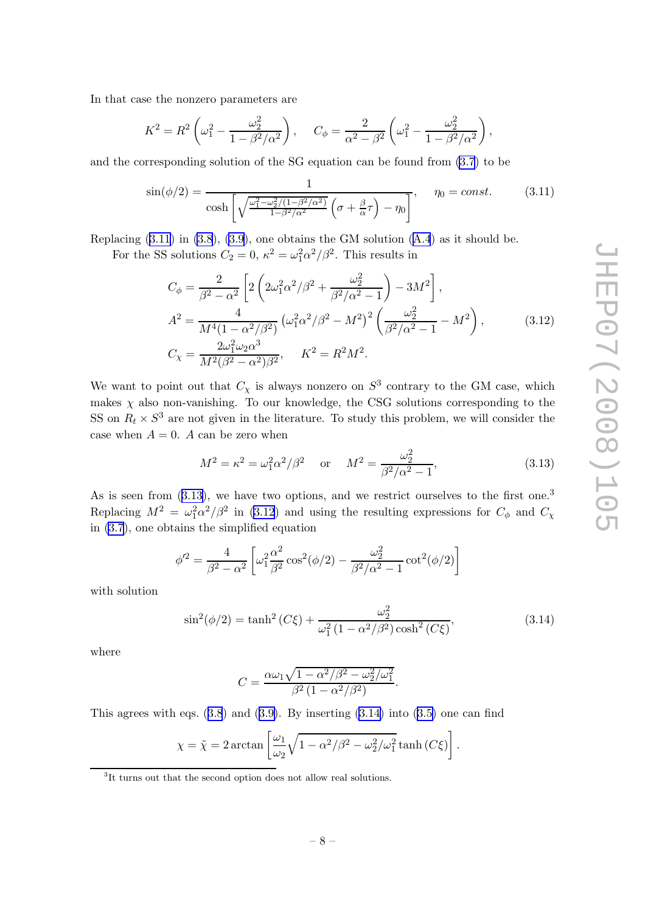<span id="page-8-0"></span>In that case the nonzero parameters are

$$
K^{2} = R^{2} \left( \omega_{1}^{2} - \frac{\omega_{2}^{2}}{1 - \beta^{2}/\alpha^{2}} \right), \quad C_{\phi} = \frac{2}{\alpha^{2} - \beta^{2}} \left( \omega_{1}^{2} - \frac{\omega_{2}^{2}}{1 - \beta^{2}/\alpha^{2}} \right),
$$

and the corresponding solution of the SG equation can be found from [\(3.7](#page-7-0)) to be

$$
\sin(\phi/2) = \frac{1}{\cosh\left[\sqrt{\frac{\omega_1^2 - \omega_2^2/(1-\beta^2/\alpha^2)}{1-\beta^2/\alpha^2}}\left(\sigma + \frac{\beta}{\alpha}\tau\right) - \eta_0\right]}, \quad \eta_0 = const.
$$
 (3.11)

Replacing  $(3.11)$  in  $(3.8)$  $(3.8)$ ,  $(3.9)$  $(3.9)$ , one obtains the GM solution  $(A.4)$  $(A.4)$  $(A.4)$  as it should be. For the SS solutions  $C_2 = 0$ ,  $\kappa^2 = \omega_1^2 \alpha^2 / \beta^2$ . This results in

$$
C_{\phi} = \frac{2}{\beta^2 - \alpha^2} \left[ 2 \left( 2\omega_1^2 \alpha^2 / \beta^2 + \frac{\omega_2^2}{\beta^2 / \alpha^2 - 1} \right) - 3M^2 \right],
$$
  
\n
$$
A^2 = \frac{4}{M^4 (1 - \alpha^2 / \beta^2)} \left( \omega_1^2 \alpha^2 / \beta^2 - M^2 \right)^2 \left( \frac{\omega_2^2}{\beta^2 / \alpha^2 - 1} - M^2 \right),
$$
  
\n
$$
C_{\chi} = \frac{2\omega_1^2 \omega_2 \alpha^3}{M^2 (\beta^2 - \alpha^2) \beta^2}, \quad K^2 = R^2 M^2.
$$
\n(3.12)

We want to point out that  $C_{\chi}$  is always nonzero on  $S^3$  contrary to the GM case, which makes  $\chi$  also non-vanishing. To our knowledge, the CSG solutions corresponding to the SS on  $R_t \times S^3$  are not given in the literature. To study this problem, we will consider the case when  $A = 0$ . A can be zero when

$$
M^{2} = \kappa^{2} = \omega_{1}^{2} \alpha^{2} / \beta^{2} \quad \text{or} \quad M^{2} = \frac{\omega_{2}^{2}}{\beta^{2} / \alpha^{2} - 1}, \tag{3.13}
$$

As is seen from  $(3.13)$ , we have two options, and we restrict ourselves to the first one.<sup>3</sup> Replacing  $M^2 = \omega_1^2 \alpha^2/\beta^2$  in (3.12) and using the resulting expressions for  $C_\phi$  and  $C_\chi$ in [\(3.7](#page-7-0)), one obtains the simplified equation

$$
\phi'^2 = \frac{4}{\beta^2 - \alpha^2} \left[ \omega_1^2 \frac{\alpha^2}{\beta^2} \cos^2(\phi/2) - \frac{\omega_2^2}{\beta^2/\alpha^2 - 1} \cot^2(\phi/2) \right]
$$

with solution

$$
\sin^2(\phi/2) = \tanh^2(C\xi) + \frac{\omega_2^2}{\omega_1^2 (1 - \alpha^2/\beta^2) \cosh^2(C\xi)},
$$
\n(3.14)

where

$$
C = \frac{\alpha \omega_1 \sqrt{1 - \alpha^2/\beta^2 - \omega_2^2/\omega_1^2}}{\beta^2 (1 - \alpha^2/\beta^2)}.
$$

This agrees with eqs.  $(3.8)$  $(3.8)$  $(3.8)$  and  $(3.9)$  $(3.9)$ . By inserting  $(3.14)$  into  $(3.5)$  one can find

$$
\chi = \tilde{\chi} = 2 \arctan \left[ \frac{\omega_1}{\omega_2} \sqrt{1 - \alpha^2/\beta^2 - \omega_2^2/\omega_1^2} \tanh\left(C\xi\right) \right].
$$

<sup>3</sup> It turns out that the second option does not allow real solutions.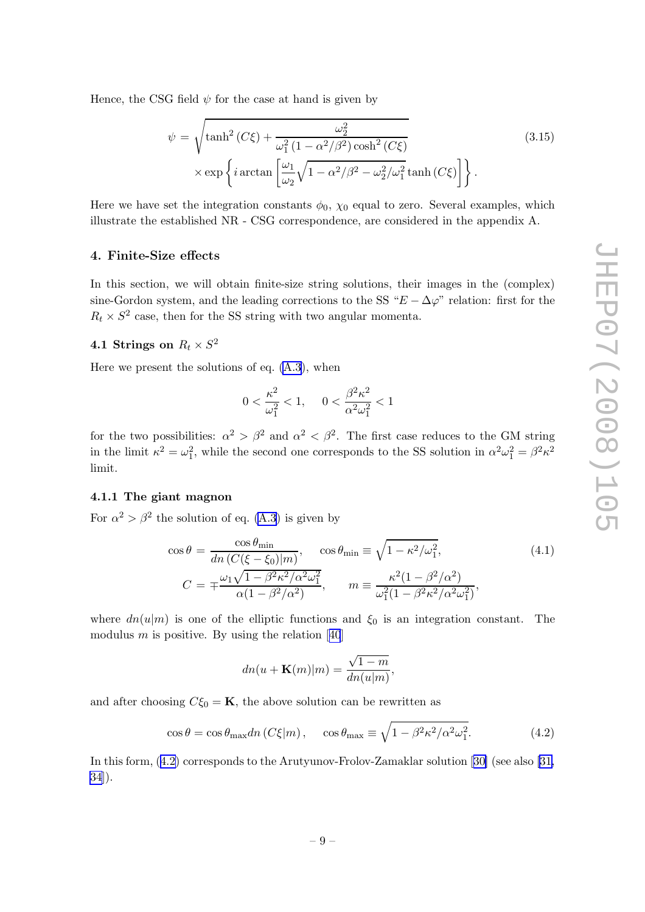<span id="page-9-0"></span>Hence, the CSG field  $\psi$  for the case at hand is given by

$$
\psi = \sqrt{\tanh^2\left(C\xi\right) + \frac{\omega_2^2}{\omega_1^2\left(1 - \alpha^2/\beta^2\right)\cosh^2\left(C\xi\right)}}
$$
\n
$$
\times \exp\left\{i\arctan\left[\frac{\omega_1}{\omega_2}\sqrt{1 - \alpha^2/\beta^2 - \omega_2^2/\omega_1^2}\tanh\left(C\xi\right)\right]\right\}.
$$
\n(3.15)

Here we have set the integration constants  $\phi_0$ ,  $\chi_0$  equal to zero. Several examples, which illustrate the established NR - CSG correspondence, are considered in the appendix A.

#### 4. Finite-Size effects

In this section, we will obtain finite-size string solutions, their images in the (complex) sine-Gordon system, and the leading corrections to the SS " $E - \Delta \varphi$ " relation: first for the  $R_t \times S^2$  case, then for the SS string with two angular momenta.

## 4.1 Strings on  $R_t \times S^2$

Here we present the solutions of eq. [\(A.3\)](#page-17-0), when

$$
0 < \frac{\kappa^2}{\omega_1^2} < 1, \quad 0 < \frac{\beta^2 \kappa^2}{\alpha^2 \omega_1^2} < 1
$$

for the two possibilities:  $\alpha^2 > \beta^2$  and  $\alpha^2 < \beta^2$ . The first case reduces to the GM string in the limit  $\kappa^2 = \omega_1^2$ , while the second one corresponds to the SS solution in  $\alpha^2 \omega_1^2 = \beta^2 \kappa^2$ limit.

#### 4.1.1 The giant magnon

For  $\alpha^2 > \beta^2$  the solution of eq. [\(A.3\)](#page-17-0) is given by

$$
\cos \theta = \frac{\cos \theta_{\min}}{dn \left(C(\xi - \xi_0)|m\right)}, \quad \cos \theta_{\min} \equiv \sqrt{1 - \kappa^2/\omega_1^2},
$$
\n
$$
C = \mp \frac{\omega_1 \sqrt{1 - \beta^2 \kappa^2/\alpha^2 \omega_1^2}}{\alpha(1 - \beta^2/\alpha^2)}, \qquad m \equiv \frac{\kappa^2 (1 - \beta^2/\alpha^2)}{\omega_1^2 (1 - \beta^2 \kappa^2/\alpha^2 \omega_1^2)},
$$
\n(4.1)

where  $dn(u|m)$  is one of the elliptic functions and  $\xi_0$  is an integration constant. The modulus $m$  is positive. By using the relation [[40](#page-23-0)]

$$
dn(u + \mathbf{K}(m)|m) = \frac{\sqrt{1-m}}{dn(u|m)},
$$

and after choosing  $C\xi_0 = \mathbf{K}$ , the above solution can be rewritten as

$$
\cos \theta = \cos \theta_{\text{max}} dn (C\xi|m), \quad \cos \theta_{\text{max}} \equiv \sqrt{1 - \beta^2 \kappa^2 / \alpha^2 \omega_1^2}.
$$
 (4.2)

In this form, (4.2) corresponds to the Arutyunov-Frolov-Zamaklar solution[[30\]](#page-22-0) (see also [\[31,](#page-22-0) [34](#page-23-0)]).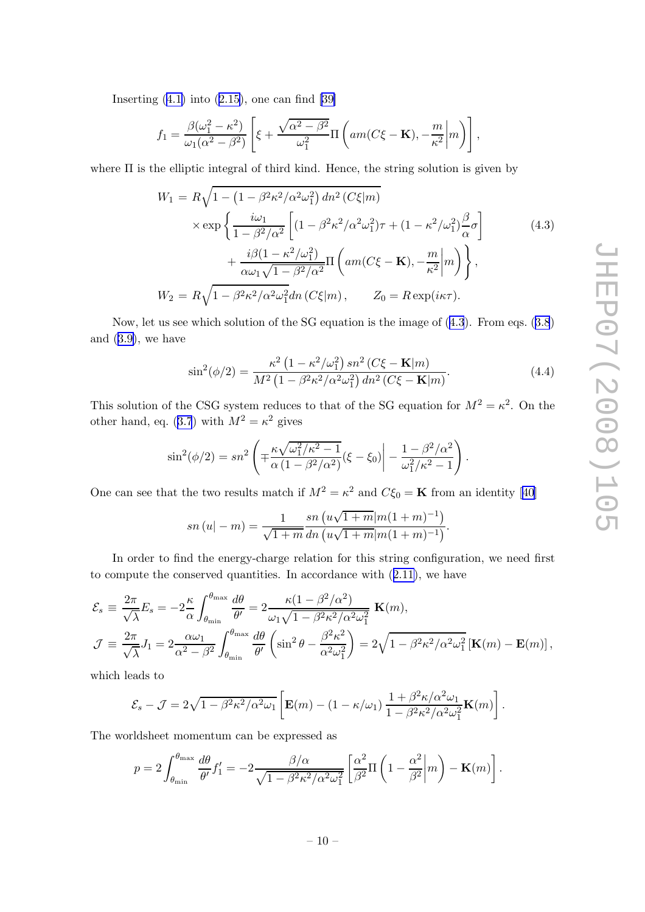Inserting  $(4.1)$  $(4.1)$  into  $(2.15)$  $(2.15)$  $(2.15)$ , one can find  $[39]$ 

$$
f_1 = \frac{\beta(\omega_1^2 - \kappa^2)}{\omega_1(\alpha^2 - \beta^2)} \left[ \xi + \frac{\sqrt{\alpha^2 - \beta^2}}{\omega_1^2} \Pi \left( am(C\xi - \mathbf{K}), -\frac{m}{\kappa^2} \middle| m \right) \right],
$$

where Π is the elliptic integral of third kind. Hence, the string solution is given by

$$
W_1 = R\sqrt{1 - \left(1 - \beta^2 \kappa^2 / \alpha^2 \omega_1^2\right) dn^2 \left(C\xi|m\right)}
$$
  
\n
$$
\times \exp\left\{\frac{i\omega_1}{1 - \beta^2 / \alpha^2} \left[ (1 - \beta^2 \kappa^2 / \alpha^2 \omega_1^2) \tau + (1 - \kappa^2 / \omega_1^2) \frac{\beta}{\alpha} \sigma \right] + \frac{i\beta(1 - \kappa^2 / \omega_1^2)}{\alpha \omega_1 \sqrt{1 - \beta^2 / \alpha^2}} \Pi\left(am(C\xi - \mathbf{K}), -\frac{m}{\kappa^2} |m\right) \right\},
$$
  
\n
$$
W_2 = R\sqrt{1 - \beta^2 \kappa^2 / \alpha^2 \omega_1^2} dn\left(C\xi|m\right), \qquad Z_0 = R \exp(i\kappa\tau).
$$
\n(4.3)

Now, let us see which solution of the SG equation is the image of (4.3). From eqs. ([3.8](#page-7-0)) and ([3.9\)](#page-7-0), we have

$$
\sin^2(\phi/2) = \frac{\kappa^2 (1 - \kappa^2/\omega_1^2) \, sn^2 \left( C \xi - \mathbf{K} | m \right)}{M^2 \left( 1 - \beta^2 \kappa^2 / \alpha^2 \omega_1^2 \right) dn^2 \left( C \xi - \mathbf{K} | m \right)}.
$$
\n(4.4)

.

This solution of the CSG system reduces to that of the SG equation for  $M^2 = \kappa^2$ . On the other hand, eq. ([3.7](#page-7-0)) with  $M^2 = \kappa^2$  gives

$$
\sin^2(\phi/2) = sn^2 \left( \pm \frac{\kappa \sqrt{\omega_1^2/\kappa^2 - 1}}{\alpha (1 - \beta^2/\alpha^2)} (\xi - \xi_0) \right) - \frac{1 - \beta^2/\alpha^2}{\omega_1^2/\kappa^2 - 1} \right)
$$

One can see that the two results match if  $M^2 = \kappa^2$  and  $C \xi_0 = \mathbf{K}$  from an identity [\[40\]](#page-23-0)

$$
sn (u|-m) = \frac{1}{\sqrt{1+m}} \frac{sn (u\sqrt{1+m}|m(1+m)^{-1})}{dn (u\sqrt{1+m}|m(1+m)^{-1})}.
$$

In order to find the energy-charge relation for this string configuration, we need first to compute the conserved quantities. In accordance with ([2.11\)](#page-5-0), we have

$$
\mathcal{E}_{s} \equiv \frac{2\pi}{\sqrt{\lambda}} E_{s} = -2\frac{\kappa}{\alpha} \int_{\theta_{\min}}^{\theta_{\max}} \frac{d\theta}{\theta'} = 2\frac{\kappa(1-\beta^{2}/\alpha^{2})}{\omega_{1}\sqrt{1-\beta^{2}\kappa^{2}/\alpha^{2}\omega_{1}^{2}}} \mathbf{K}(m),
$$
  

$$
\mathcal{J} \equiv \frac{2\pi}{\sqrt{\lambda}} J_{1} = 2\frac{\alpha\omega_{1}}{\alpha^{2}-\beta^{2}} \int_{\theta_{\min}}^{\theta_{\max}} \frac{d\theta}{\theta'} \left(\sin^{2}\theta - \frac{\beta^{2}\kappa^{2}}{\alpha^{2}\omega_{1}^{2}}\right) = 2\sqrt{1-\beta^{2}\kappa^{2}/\alpha^{2}\omega_{1}^{2}} \left[\mathbf{K}(m) - \mathbf{E}(m)\right],
$$

which leads to

$$
\mathcal{E}_s - \mathcal{J} = 2\sqrt{1 - \beta^2 \kappa^2/\alpha^2 \omega_1} \left[ \mathbf{E}(m) - (1 - \kappa/\omega_1) \frac{1 + \beta^2 \kappa/\alpha^2 \omega_1}{1 - \beta^2 \kappa^2/\alpha^2 \omega_1^2} \mathbf{K}(m) \right].
$$

The worldsheet momentum can be expressed as

$$
p = 2 \int_{\theta_{\min}}^{\theta_{\max}} \frac{d\theta}{\theta'} f_1' = -2 \frac{\beta/\alpha}{\sqrt{1 - \beta^2 \kappa^2/\alpha^2 \omega_1^2}} \left[ \frac{\alpha^2}{\beta^2} \Pi \left( 1 - \frac{\alpha^2}{\beta^2} \middle| m \right) - \mathbf{K}(m) \right].
$$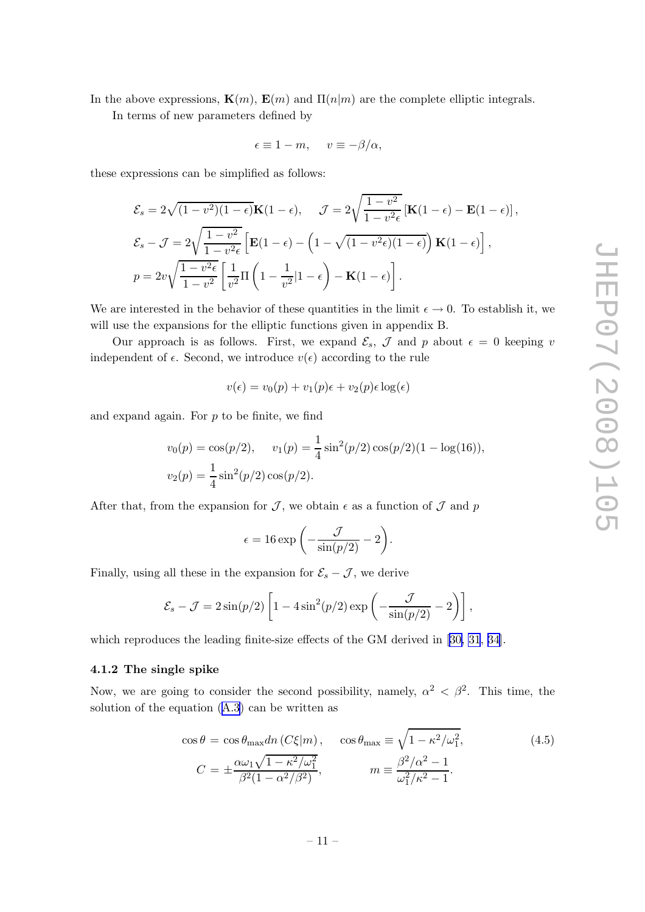<span id="page-11-0"></span>In the above expressions,  $\mathbf{K}(m)$ ,  $\mathbf{E}(m)$  and  $\Pi(n|m)$  are the complete elliptic integrals.

In terms of new parameters defined by

$$
\epsilon \equiv 1 - m, \quad v \equiv -\beta/\alpha,
$$

these expressions can be simplified as follows:

$$
\mathcal{E}_s = 2\sqrt{(1 - v^2)(1 - \epsilon)}\mathbf{K}(1 - \epsilon), \quad \mathcal{J} = 2\sqrt{\frac{1 - v^2}{1 - v^2\epsilon}}\left[\mathbf{K}(1 - \epsilon) - \mathbf{E}(1 - \epsilon)\right],
$$
  

$$
\mathcal{E}_s - \mathcal{J} = 2\sqrt{\frac{1 - v^2}{1 - v^2\epsilon}}\left[\mathbf{E}(1 - \epsilon) - \left(1 - \sqrt{(1 - v^2\epsilon)(1 - \epsilon)}\right)\mathbf{K}(1 - \epsilon)\right],
$$
  

$$
p = 2v\sqrt{\frac{1 - v^2\epsilon}{1 - v^2}}\left[\frac{1}{v^2}\Pi\left(1 - \frac{1}{v^2}|1 - \epsilon\right) - \mathbf{K}(1 - \epsilon)\right].
$$

We are interested in the behavior of these quantities in the limit  $\epsilon \to 0$ . To establish it, we will use the expansions for the elliptic functions given in appendix B.

Our approach is as follows. First, we expand  $\mathcal{E}_s$ ,  $\mathcal{J}$  and p about  $\epsilon = 0$  keeping v independent of  $\epsilon$ . Second, we introduce  $v(\epsilon)$  according to the rule

$$
v(\epsilon) = v_0(p) + v_1(p)\epsilon + v_2(p)\epsilon \log(\epsilon)
$$

and expand again. For  $p$  to be finite, we find

$$
v_0(p) = \cos(p/2), \quad v_1(p) = \frac{1}{4}\sin^2(p/2)\cos(p/2)(1 - \log(16)),
$$
  

$$
v_2(p) = \frac{1}{4}\sin^2(p/2)\cos(p/2).
$$

After that, from the expansion for  $\mathcal{J}$ , we obtain  $\epsilon$  as a function of  $\mathcal{J}$  and p

$$
\epsilon = 16 \exp\left(-\frac{\mathcal{J}}{\sin(p/2)} - 2\right).
$$

Finally, using all these in the expansion for  $\mathcal{E}_s - \mathcal{J}$ , we derive

$$
\mathcal{E}_s - \mathcal{J} = 2\sin(p/2)\left[1 - 4\sin^2(p/2)\exp\left(-\frac{\mathcal{J}}{\sin(p/2)} - 2\right)\right],
$$

which reproduces the leading finite-size effects of the GM derived in[[30, 31](#page-22-0), [34\]](#page-23-0).

#### 4.1.2 The single spike

Now, we are going to consider the second possibility, namely,  $\alpha^2 < \beta^2$ . This time, the solution of the equation ([A.3](#page-17-0)) can be written as

$$
\cos \theta = \cos \theta_{\text{max}} dn \left( C\xi | m \right), \quad \cos \theta_{\text{max}} \equiv \sqrt{1 - \kappa^2/\omega_1^2},
$$
\n
$$
C = \pm \frac{\alpha \omega_1 \sqrt{1 - \kappa^2/\omega_1^2}}{\beta^2 (1 - \alpha^2/\beta^2)}, \qquad m \equiv \frac{\beta^2/\alpha^2 - 1}{\omega_1^2/\kappa^2 - 1}.
$$
\n(4.5)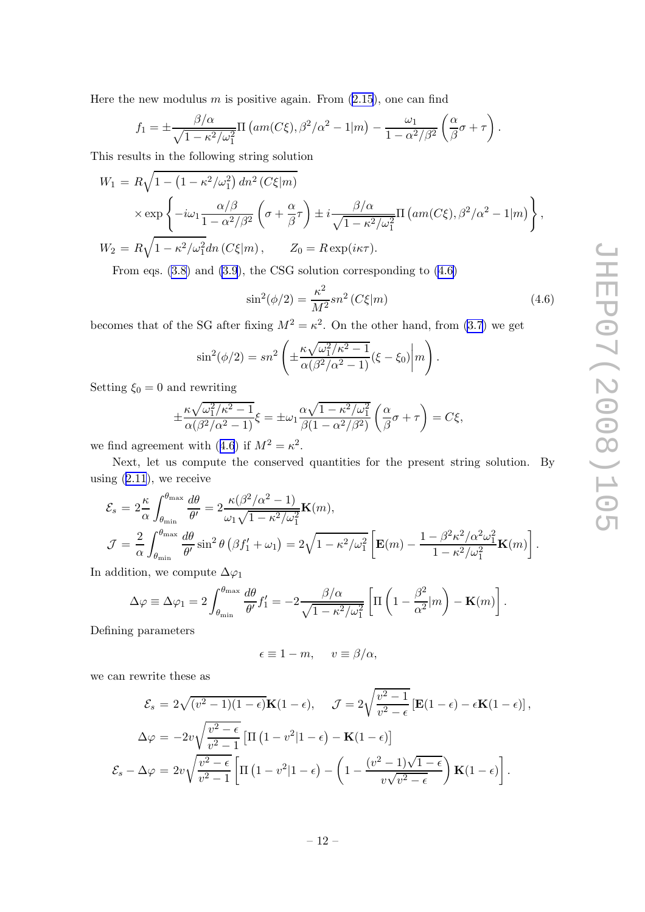Here the new modulus  $m$  is positive again. From  $(2.15)$  $(2.15)$ , one can find

$$
f_1 = \pm \frac{\beta/\alpha}{\sqrt{1 - \kappa^2/\omega_1^2}} \Pi \left( am(C\xi), \beta^2/\alpha^2 - 1 \vert m \right) - \frac{\omega_1}{1 - \alpha^2/\beta^2} \left( \frac{\alpha}{\beta} \sigma + \tau \right).
$$

This results in the following string solution

$$
W_1 = R\sqrt{1 - (1 - \kappa^2/\omega_1^2) dn^2 (C\xi|m)}
$$
  
 
$$
\times \exp\left\{-i\omega_1 \frac{\alpha/\beta}{1 - \alpha^2/\beta^2} \left(\sigma + \frac{\alpha}{\beta}\tau\right) \pm i \frac{\beta/\alpha}{\sqrt{1 - \kappa^2/\omega_1^2}} \Pi\left(am(C\xi), \beta^2/\alpha^2 - 1|m\right)\right\},
$$
  
\n
$$
W_2 = R\sqrt{1 - \kappa^2/\omega_1^2} dn (C\xi|m), \qquad Z_0 = R \exp(i\kappa\tau).
$$

From eqs. [\(3.8\)](#page-7-0) and [\(3.9](#page-7-0)), the CSG solution corresponding to (4.6)

$$
\sin^2(\phi/2) = \frac{\kappa^2}{M^2} s n^2 (C\xi|m)
$$
\n(4.6)

becomes that of the SG after fixing  $M^2 = \kappa^2$ . On the other hand, from [\(3.7](#page-7-0)) we get

$$
\sin^2(\phi/2) = sn^2 \left( \pm \frac{\kappa \sqrt{\omega_1^2/\kappa^2 - 1}}{\alpha(\beta^2/\alpha^2 - 1)} (\xi - \xi_0) \middle| m \right).
$$

Setting  $\xi_0 = 0$  and rewriting

$$
\pm \frac{\kappa \sqrt{\omega_1^2/\kappa^2 - 1}}{\alpha(\beta^2/\alpha^2 - 1)} \xi = \pm \omega_1 \frac{\alpha \sqrt{1 - \kappa^2/\omega_1^2}}{\beta(1 - \alpha^2/\beta^2)} \left(\frac{\alpha}{\beta}\sigma + \tau\right) = C\xi,
$$

we find agreement with (4.6) if  $M^2 = \kappa^2$ .

Next, let us compute the conserved quantities for the present string solution. By using  $(2.11)$  $(2.11)$ , we receive

$$
\mathcal{E}_{s} = 2 \frac{\kappa}{\alpha} \int_{\theta_{\min}}^{\theta_{\max}} \frac{d\theta}{\theta'} = 2 \frac{\kappa(\beta^{2}/\alpha^{2} - 1)}{\omega_{1}\sqrt{1 - \kappa^{2}/\omega_{1}^{2}}} \mathbf{K}(m),
$$
  

$$
\mathcal{J} = \frac{2}{\alpha} \int_{\theta_{\min}}^{\theta_{\max}} \frac{d\theta}{\theta'} \sin^{2} \theta \left(\beta f_{1}' + \omega_{1}\right) = 2\sqrt{1 - \kappa^{2}/\omega_{1}^{2}} \left[\mathbf{E}(m) - \frac{1 - \beta^{2} \kappa^{2}/\alpha^{2} \omega_{1}^{2}}{1 - \kappa^{2}/\omega_{1}^{2}} \mathbf{K}(m)\right].
$$

In addition, we compute  $\Delta\varphi_1$ 

$$
\Delta \varphi \equiv \Delta \varphi_1 = 2 \int_{\theta_{\min}}^{\theta_{\max}} \frac{d\theta}{\theta'} f_1' = -2 \frac{\beta/\alpha}{\sqrt{1 - \kappa^2/\omega_1^2}} \left[ \Pi \left( 1 - \frac{\beta^2}{\alpha^2} | m \right) - \mathbf{K}(m) \right].
$$

Defining parameters

$$
\epsilon \equiv 1-m, \quad v \equiv \beta/\alpha,
$$

we can rewrite these as

$$
\mathcal{E}_s = 2\sqrt{(v^2 - 1)(1 - \epsilon)}\mathbf{K}(1 - \epsilon), \quad \mathcal{J} = 2\sqrt{\frac{v^2 - 1}{v^2 - \epsilon}}\left[\mathbf{E}(1 - \epsilon) - \epsilon \mathbf{K}(1 - \epsilon)\right],
$$

$$
\Delta\varphi = -2v\sqrt{\frac{v^2 - \epsilon}{v^2 - 1}}\left[\Pi\left(1 - v^2|1 - \epsilon\right) - \mathbf{K}(1 - \epsilon)\right]
$$

$$
\mathcal{E}_s - \Delta\varphi = 2v\sqrt{\frac{v^2 - \epsilon}{v^2 - 1}}\left[\Pi\left(1 - v^2|1 - \epsilon\right) - \left(1 - \frac{(v^2 - 1)\sqrt{1 - \epsilon}}{v\sqrt{v^2 - \epsilon}}\right)\mathbf{K}(1 - \epsilon)\right].
$$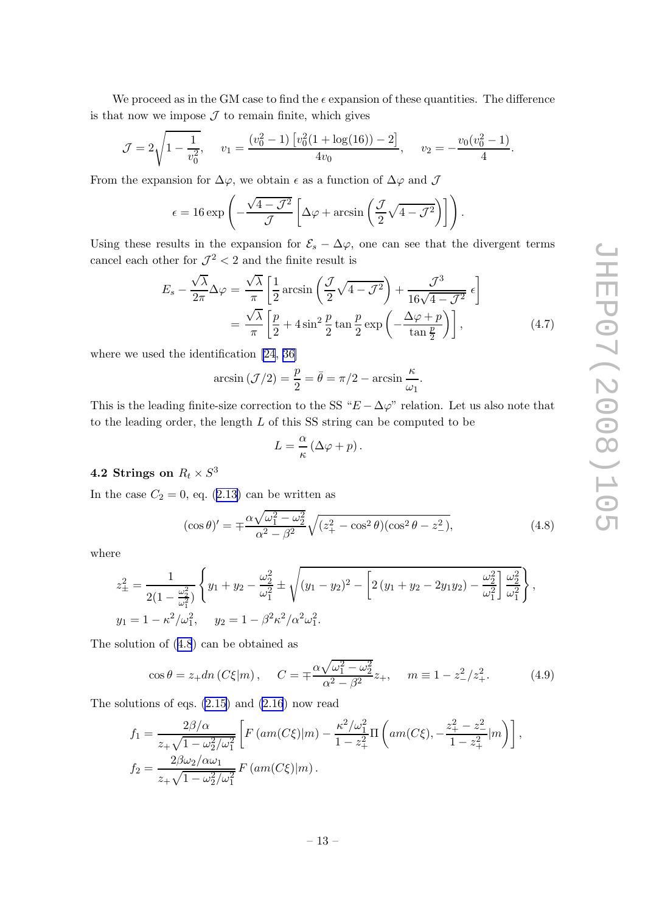<span id="page-13-0"></span>We proceed as in the GM case to find the  $\epsilon$  expansion of these quantities. The difference is that now we impose  $\mathcal J$  to remain finite, which gives

$$
\mathcal{J} = 2\sqrt{1 - \frac{1}{v_0^2}}, \quad v_1 = \frac{(v_0^2 - 1)\left[v_0^2(1 + \log(16)) - 2\right]}{4v_0}, \quad v_2 = -\frac{v_0(v_0^2 - 1)}{4}.
$$

From the expansion for  $\Delta\varphi$ , we obtain  $\epsilon$  as a function of  $\Delta\varphi$  and  $\mathcal J$ 

$$
\epsilon = 16 \exp \left(-\frac{\sqrt{4-\mathcal{J}^2}}{\mathcal{J}} \left[\Delta \varphi + \arcsin \left(\frac{\mathcal{J}}{2} \sqrt{4-\mathcal{J}^2}\right)\right]\right).
$$

Using these results in the expansion for  $\mathcal{E}_s - \Delta \varphi$ , one can see that the divergent terms cancel each other for  $\mathcal{J}^2 < 2$  and the finite result is

$$
E_s - \frac{\sqrt{\lambda}}{2\pi} \Delta \varphi = \frac{\sqrt{\lambda}}{\pi} \left[ \frac{1}{2} \arcsin\left(\frac{\mathcal{J}}{2} \sqrt{4 - \mathcal{J}^2}\right) + \frac{\mathcal{J}^3}{16\sqrt{4 - \mathcal{J}^2}} \epsilon \right]
$$
  
=  $\frac{\sqrt{\lambda}}{\pi} \left[ \frac{p}{2} + 4 \sin^2 \frac{p}{2} \tan \frac{p}{2} \exp\left(-\frac{\Delta \varphi + p}{\tan \frac{p}{2}}\right) \right],$  (4.7)

where we used the identification [\[24](#page-22-0), [36\]](#page-23-0)

$$
\arcsin(\mathcal{J}/2) = \frac{p}{2} = \bar{\theta} = \pi/2 - \arcsin\frac{\kappa}{\omega_1}.
$$

This is the leading finite-size correction to the SS " $E - \Delta \varphi$ " relation. Let us also note that to the leading order, the length  $L$  of this SS string can be computed to be

$$
L = \frac{\alpha}{\kappa} \left( \Delta \varphi + p \right).
$$

## **4.2 Strings on**  $R_t \times S^3$

In the case  $C_2 = 0$ , eq. ([2.13\)](#page-5-0) can be written as

$$
(\cos \theta)' = \pm \frac{\alpha \sqrt{\omega_1^2 - \omega_2^2}}{\alpha^2 - \beta^2} \sqrt{(z_+^2 - \cos^2 \theta)(\cos^2 \theta - z_-^2)},
$$
\n(4.8)

where

$$
z_{\pm}^{2} = \frac{1}{2(1 - \frac{\omega_{2}^{2}}{\omega_{1}^{2}})} \left\{ y_{1} + y_{2} - \frac{\omega_{2}^{2}}{\omega_{1}^{2}} \pm \sqrt{(y_{1} - y_{2})^{2} - \left[ 2(y_{1} + y_{2} - 2y_{1}y_{2}) - \frac{\omega_{2}^{2}}{\omega_{1}^{2}} \right] \frac{\omega_{2}^{2}}{\omega_{1}^{2}} \right\},
$$
  

$$
y_{1} = 1 - \kappa^{2}/\omega_{1}^{2}, \quad y_{2} = 1 - \beta^{2} \kappa^{2}/\alpha^{2} \omega_{1}^{2}.
$$

The solution of (4.8) can be obtained as

$$
\cos \theta = z_+ dn \left( C \xi | m \right), \quad C = \pm \frac{\alpha \sqrt{\omega_1^2 - \omega_2^2}}{\alpha^2 - \beta^2} z_+, \quad m \equiv 1 - z_-^2 / z_+^2. \tag{4.9}
$$

The solutions of eqs. [\(2.15\)](#page-5-0) and [\(2.16](#page-5-0)) now read

$$
f_1 = \frac{2\beta/\alpha}{z_+\sqrt{1-\omega_2^2/\omega_1^2}} \left[ F\left( am(C\xi) \middle| m \right) - \frac{\kappa^2/\omega_1^2}{1-z_+^2} \Pi \left( am(C\xi), -\frac{z_+^2-z_-^2}{1-z_+^2} \middle| m \right) \right],
$$
  
\n
$$
f_2 = \frac{2\beta\omega_2/\alpha\omega_1}{z_+\sqrt{1-\omega_2^2/\omega_1^2}} F\left( am(C\xi) \middle| m \right).
$$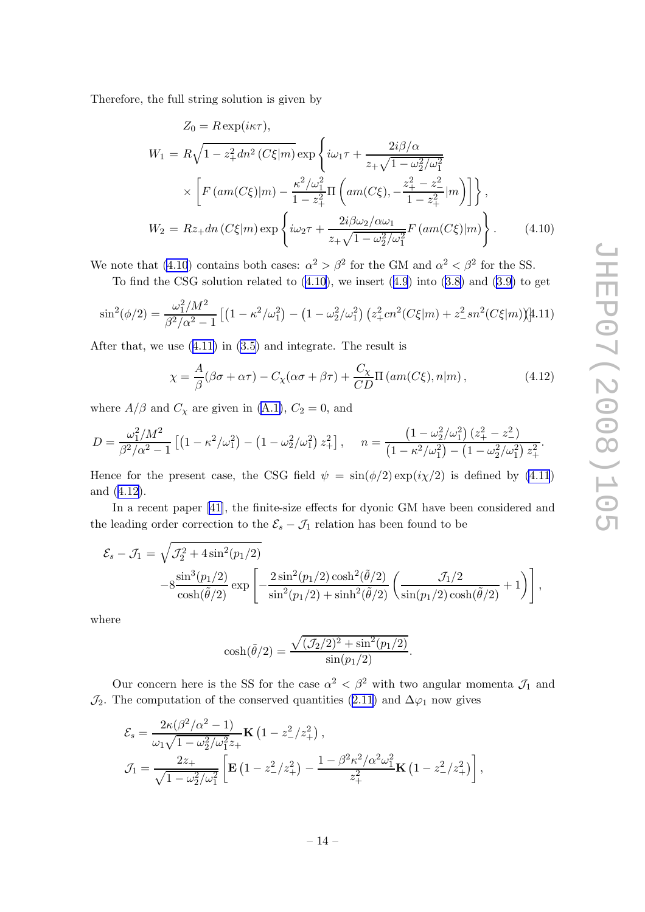Therefore, the full string solution is given by

$$
Z_0 = R \exp(i\kappa \tau),
$$
  
\n
$$
W_1 = R\sqrt{1 - z_+^2} dn^2 (C\xi|m) \exp\left\{i\omega_1 \tau + \frac{2i\beta/\alpha}{z_+\sqrt{1 - \omega_2^2/\omega_1^2}}\right\}
$$
  
\n
$$
\times \left[F\left(am(C\xi)|m\right) - \frac{\kappa^2/\omega_1^2}{1 - z_+^2} \Pi\left(am(C\xi), -\frac{z_+^2 - z_-^2}{1 - z_+^2}|m\right)\right]\right\},
$$
  
\n
$$
W_2 = Rz_+ dn (C\xi|m) \exp\left\{i\omega_2 \tau + \frac{2i\beta\omega_2/\alpha\omega_1}{z_+\sqrt{1 - \omega_2^2/\omega_1^2}} F\left(am(C\xi)|m\right)\right\}.
$$
\n(4.10)

We note that (4.10) contains both cases:  $\alpha^2 > \beta^2$  for the GM and  $\alpha^2 < \beta^2$  for the SS.

To find the CSG solution related to  $(4.10)$ , we insert  $(4.9)$  $(4.9)$  $(4.9)$  into  $(3.8)$  $(3.8)$  and  $(3.9)$  to get

$$
\sin^2(\phi/2) = \frac{\omega_1^2/M^2}{\beta^2/\alpha^2 - 1} \left[ \left( 1 - \kappa^2/\omega_1^2 \right) - \left( 1 - \omega_2^2/\omega_1^2 \right) \left( z_+^2 cn^2 (C\xi|m) + z_-^2 sn^2 (C\xi|m) \right) \right] \tag{4.11}
$$

After that, we use (4.11) in ([3.5\)](#page-6-0) and integrate. The result is

$$
\chi = \frac{A}{\beta} (\beta \sigma + \alpha \tau) - C_{\chi} (\alpha \sigma + \beta \tau) + \frac{C_{\chi}}{CD} \Pi \left( am(C\xi), n|m \right), \tag{4.12}
$$

where  $A/\beta$  and  $C_\chi$  are given in [\(A.1\)](#page-17-0),  $C_2 = 0$ , and

$$
D = \frac{\omega_1^2 / M^2}{\beta^2 / \alpha^2 - 1} \left[ \left( 1 - \kappa^2 / \omega_1^2 \right) - \left( 1 - \omega_2^2 / \omega_1^2 \right) z_+^2 \right], \quad n = \frac{\left( 1 - \omega_2^2 / \omega_1^2 \right) (z_+^2 - z_-^2)}{\left( 1 - \kappa^2 / \omega_1^2 \right) - \left( 1 - \omega_2^2 / \omega_1^2 \right) z_+^2}.
$$

Hence for the present case, the CSG field  $\psi = \sin(\phi/2) \exp(i\chi/2)$  is defined by (4.11) and (4.12).

In a recent paper [\[41](#page-23-0)], the finite-size effects for dyonic GM have been considered and the leading order correction to the  $\mathcal{E}_s - \mathcal{J}_1$  relation has been found to be

$$
\mathcal{E}_s - \mathcal{J}_1 = \sqrt{\mathcal{J}_2^2 + 4\sin^2(p_1/2)} -8\frac{\sin^3(p_1/2)}{\cosh(\tilde{\theta}/2)}\exp\left[-\frac{2\sin^2(p_1/2)\cosh^2(\tilde{\theta}/2)}{\sin^2(p_1/2) + \sinh^2(\tilde{\theta}/2)}\left(\frac{\mathcal{J}_1/2}{\sin(p_1/2)\cosh(\tilde{\theta}/2)} + 1\right)\right],
$$

where

$$
\cosh(\tilde{\theta}/2) = \frac{\sqrt{(\mathcal{J}_2/2)^2 + \sin^2(p_1/2)}}{\sin(p_1/2)}.
$$

Our concern here is the SS for the case  $\alpha^2 < \beta^2$  with two angular momenta  $\mathcal{J}_1$  and  $\mathcal{J}_2$ . The computation of the conserved quantities [\(2.11](#page-5-0)) and  $\Delta\varphi_1$  now gives

$$
\mathcal{E}_{s} = \frac{2\kappa(\beta^{2}/\alpha^{2} - 1)}{\omega_{1}\sqrt{1 - \omega_{2}^{2}/\omega_{1}^{2}}z_{+}} \mathbf{K}\left(1 - z_{-}^{2}/z_{+}^{2}\right),
$$
\n
$$
\mathcal{J}_{1} = \frac{2z_{+}}{\sqrt{1 - \omega_{2}^{2}/\omega_{1}^{2}}} \left[\mathbf{E}\left(1 - z_{-}^{2}/z_{+}^{2}\right) - \frac{1 - \beta^{2}\kappa^{2}/\alpha^{2}\omega_{1}^{2}}{z_{+}^{2}}\mathbf{K}\left(1 - z_{-}^{2}/z_{+}^{2}\right)\right],
$$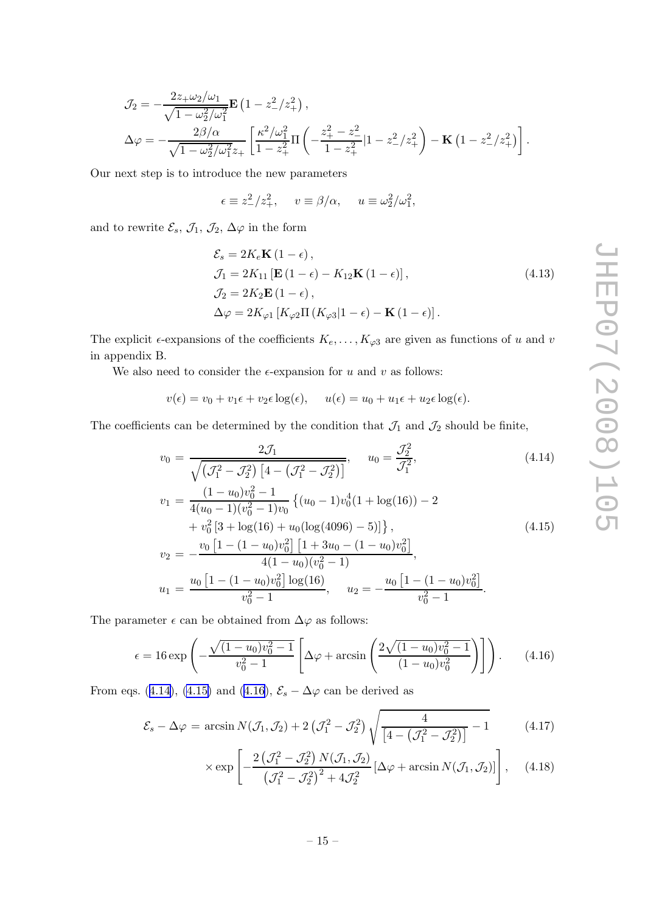<span id="page-15-0"></span>
$$
\mathcal{J}_2 = -\frac{2z_+ \omega_2/\omega_1}{\sqrt{1 - \omega_2^2/\omega_1^2}} \mathbf{E} \left( 1 - z_-^2/z_+^2 \right),
$$
  
\n
$$
\Delta \varphi = -\frac{2\beta/\alpha}{\sqrt{1 - \omega_2^2/\omega_1^2} z_+} \left[ \frac{\kappa^2/\omega_1^2}{1 - z_+^2} \Pi \left( -\frac{z_+^2 - z_-^2}{1 - z_+^2} |1 - z_-^2/z_+^2 \right) - \mathbf{K} \left( 1 - z_-^2/z_+^2 \right) \right].
$$

Our next step is to introduce the new parameters

$$
\epsilon \equiv z_-^2/z_+^2
$$
,  $v \equiv \beta/\alpha$ ,  $u \equiv \omega_2^2/\omega_1^2$ ,

and to rewrite  $\mathcal{E}_s$ ,  $\mathcal{J}_1$ ,  $\mathcal{J}_2$ ,  $\Delta \varphi$  in the form

$$
\mathcal{E}_{s} = 2K_{e}\mathbf{K} (1 - \epsilon),
$$
  
\n
$$
\mathcal{J}_{1} = 2K_{11} [\mathbf{E} (1 - \epsilon) - K_{12} \mathbf{K} (1 - \epsilon)],
$$
  
\n
$$
\mathcal{J}_{2} = 2K_{2} \mathbf{E} (1 - \epsilon),
$$
  
\n
$$
\Delta \varphi = 2K_{\varphi 1} [K_{\varphi 2} \Pi (K_{\varphi 3} | 1 - \epsilon) - \mathbf{K} (1 - \epsilon)].
$$
\n(4.13)

The explicit  $\epsilon$ -expansions of the coefficients  $K_e, \ldots, K_{\varphi 3}$  are given as functions of u and v in appendix B.

We also need to consider the  $\epsilon$ -expansion for u and v as follows:

 $v(\epsilon) = v_0 + v_1 \epsilon + v_2 \epsilon \log(\epsilon), \quad u(\epsilon) = u_0 + u_1 \epsilon + u_2 \epsilon \log(\epsilon).$ 

The coefficients can be determined by the condition that  $\mathcal{J}_1$  and  $\mathcal{J}_2$  should be finite,

$$
v_0 = \frac{2\mathcal{J}_1}{\sqrt{(\mathcal{J}_1^2 - \mathcal{J}_2^2) \left[4 - (\mathcal{J}_1^2 - \mathcal{J}_2^2)\right]}}, \quad u_0 = \frac{\mathcal{J}_2^2}{\mathcal{J}_1^2},
$$
(4.14)

$$
v_1 = \frac{(1 - u_0)v_0^2 - 1}{4(u_0 - 1)(v_0^2 - 1)v_0} \{ (u_0 - 1)v_0^4 (1 + \log(16)) - 2 + v_0^2 [3 + \log(16) + u_0(\log(4096) - 5)] \},
$$
\n
$$
v_0 = -\frac{v_0 [1 - (1 - u_0)v_0^2] [1 + 3u_0 - (1 - u_0)v_0^2]}{[1 + 3u_0 - (1 - u_0)v_0^2]}
$$
\n(4.15)

$$
v_2 = -\frac{4(1 - u_0)v_0^2 + 4u_0(v_0^2 - 1)}{4(1 - u_0)(v_0^2 - 1)},
$$
  

$$
u_1 = \frac{u_0[1 - (1 - u_0)v_0^2] \log(16)}{v_0^2 - 1}, \quad u_2 = -\frac{u_0[1 - (1 - u_0)v_0^2]}{v_0^2 - 1}.
$$

The parameter  $\epsilon$  can be obtained from  $\Delta\varphi$  as follows:

$$
\epsilon = 16 \exp\left(-\frac{\sqrt{(1-u_0)v_0^2 - 1}}{v_0^2 - 1}\left[\Delta \varphi + \arcsin\left(\frac{2\sqrt{(1-u_0)v_0^2 - 1}}{(1-u_0)v_0^2}\right)\right]\right).
$$
 (4.16)

From eqs. (4.14), (4.15) and (4.16),  $\mathcal{E}_s - \Delta \varphi$  can be derived as

$$
\mathcal{E}_s - \Delta \varphi = \arcsin N(\mathcal{J}_1, \mathcal{J}_2) + 2\left(\mathcal{J}_1^2 - \mathcal{J}_2^2\right) \sqrt{\frac{4}{\left[4 - \left(\mathcal{J}_1^2 - \mathcal{J}_2^2\right)\right]}} - 1 \tag{4.17}
$$

$$
\times \exp\left[-\frac{2\left(\mathcal{J}_1^2-\mathcal{J}_2^2\right)N(\mathcal{J}_1,\mathcal{J}_2)}{\left(\mathcal{J}_1^2-\mathcal{J}_2^2\right)^2+4\mathcal{J}_2^2}\left[\Delta\varphi+\arcsin N(\mathcal{J}_1,\mathcal{J}_2)\right]\right],\quad(4.18)
$$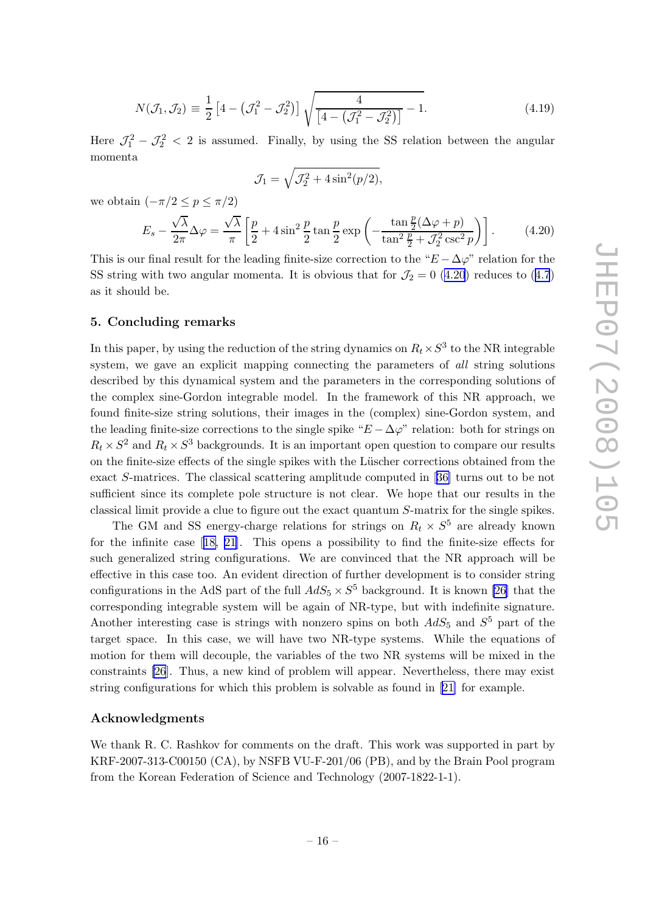$$
N(\mathcal{J}_1, \mathcal{J}_2) \equiv \frac{1}{2} \left[ 4 - \left( \mathcal{J}_1^2 - \mathcal{J}_2^2 \right) \right] \sqrt{\frac{4}{\left[ 4 - \left( \mathcal{J}_1^2 - \mathcal{J}_2^2 \right) \right]}} - 1.
$$
\n(4.19)

<span id="page-16-0"></span>Here  $\mathcal{J}_1^2 - \mathcal{J}_2^2 < 2$  is assumed. Finally, by using the SS relation between the angular momenta

$$
\mathcal{J}_1 = \sqrt{\mathcal{J}_2^2 + 4\sin^2(p/2)},
$$

we obtain  $(-\pi/2 \le p \le \pi/2)$ 

$$
E_s - \frac{\sqrt{\lambda}}{2\pi} \Delta \varphi = \frac{\sqrt{\lambda}}{\pi} \left[ \frac{p}{2} + 4\sin^2 \frac{p}{2} \tan \frac{p}{2} \exp\left( -\frac{\tan \frac{p}{2} (\Delta \varphi + p)}{\tan^2 \frac{p}{2} + \mathcal{J}_2^2 \csc^2 p} \right) \right].
$$
 (4.20)

This is our final result for the leading finite-size correction to the " $E - \Delta \varphi$ " relation for the SS string with two angular momenta. It is obvious that for  $\mathcal{J}_2 = 0$  (4.20) reduces to ([4.7](#page-13-0)) as it should be.

#### 5. Concluding remarks

In this paper, by using the reduction of the string dynamics on  $R_t \times S^3$  to the NR integrable system, we gave an explicit mapping connecting the parameters of all string solutions described by this dynamical system and the parameters in the corresponding solutions of the complex sine-Gordon integrable model. In the framework of this NR approach, we found finite-size string solutions, their images in the (complex) sine-Gordon system, and the leading finite-size corrections to the single spike " $E - \Delta \varphi$ " relation: both for strings on  $R_t \times S^2$  and  $R_t \times S^3$  backgrounds. It is an important open question to compare our results on the finite-size effects of the single spikes with the Lüscher corrections obtained from the exact S-matrices. The classical scattering amplitude computed in [[36\]](#page-23-0) turns out to be not sufficient since its complete pole structure is not clear. We hope that our results in the classical limit provide a clue to figure out the exact quantum S-matrix for the single spikes.

The GM and SS energy-charge relations for strings on  $R_t \times S^5$  are already known for the infinite case[[18, 21\]](#page-22-0). This opens a possibility to find the finite-size effects for such generalized string configurations. We are convinced that the NR approach will be effective in this case too. An evident direction of further development is to consider string configurations in the AdS part of the full  $AdS_5 \times S^5$  background. It is known [\[26\]](#page-22-0) that the corresponding integrable system will be again of NR-type, but with indefinite signature. Another interesting case is strings with nonzero spins on both  $AdS_5$  and  $S^5$  part of the target space. In this case, we will have two NR-type systems. While the equations of motion for them will decouple, the variables of the two NR systems will be mixed in the constraints [\[26](#page-22-0)]. Thus, a new kind of problem will appear. Nevertheless, there may exist string configurations for which this problem is solvable as found in [\[21\]](#page-22-0) for example.

#### Acknowledgments

We thank R. C. Rashkov for comments on the draft. This work was supported in part by KRF-2007-313-C00150 (CA), by NSFB VU-F-201/06 (PB), and by the Brain Pool program from the Korean Federation of Science and Technology (2007-1822-1-1).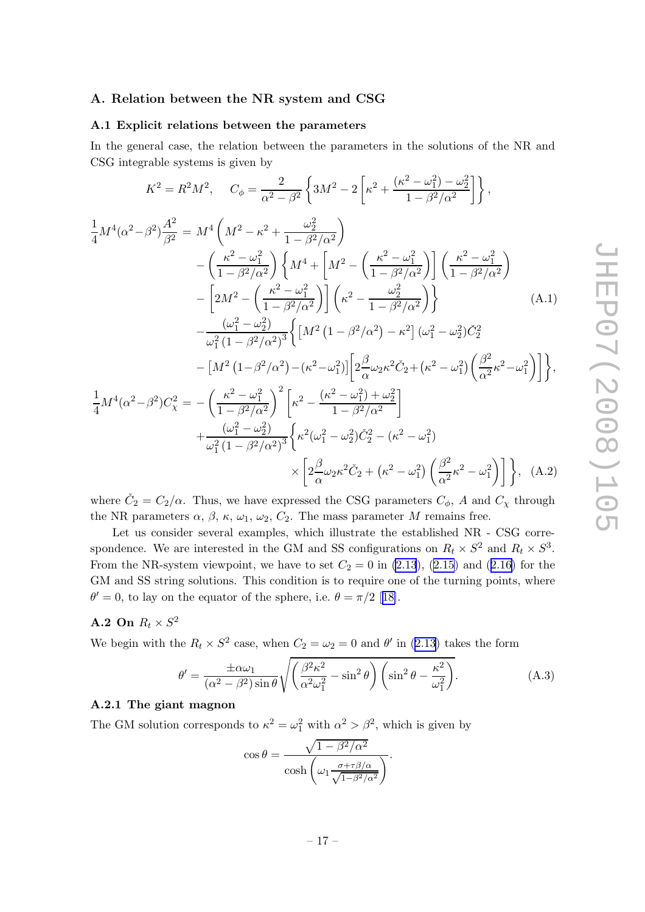#### <span id="page-17-0"></span>A. Relation between the NR system and CSG

#### A.1 Explicit relations between the parameters

In the general case, the relation between the parameters in the solutions of the NR and CSG integrable systems is given by

$$
K^{2} = R^{2}M^{2}, \t C_{\phi} = \frac{2}{\alpha^{2} - \beta^{2}} \left\{ 3M^{2} - 2 \left[ \kappa^{2} + \frac{(\kappa^{2} - \omega_{1}^{2}) - \omega_{2}^{2}}{1 - \beta^{2}/\alpha^{2}} \right] \right\},
$$
  
\n
$$
\frac{1}{4}M^{4}(\alpha^{2} - \beta^{2}) \frac{A^{2}}{\beta^{2}} = M^{4} \left( M^{2} - \kappa^{2} + \frac{\omega_{2}^{2}}{1 - \beta^{2}/\alpha^{2}} \right)
$$
  
\n
$$
- \left( \frac{\kappa^{2} - \omega_{1}^{2}}{1 - \beta^{2}/\alpha^{2}} \right) \left\{ M^{4} + \left[ M^{2} - \left( \frac{\kappa^{2} - \omega_{1}^{2}}{1 - \beta^{2}/\alpha^{2}} \right) \right] \left( \frac{\kappa^{2} - \omega_{1}^{2}}{1 - \beta^{2}/\alpha^{2}} \right) - \left[ 2M^{2} - \left( \frac{\kappa^{2} - \omega_{1}^{2}}{1 - \beta^{2}/\alpha^{2}} \right) \right] \left( \kappa^{2} - \frac{\omega_{2}^{2}}{1 - \beta^{2}/\alpha^{2}} \right) \right\} \t (A.1)
$$
  
\n
$$
- \frac{(\omega_{1}^{2} - \omega_{2}^{2})}{\omega_{1}^{2} (1 - \beta^{2}/\alpha^{2})^{3}} \left\{ \left[ M^{2} (1 - \beta^{2}/\alpha^{2}) - \kappa^{2} \right] (\omega_{1}^{2} - \omega_{2}^{2}) \tilde{C}_{2}^{2} - \left[ M^{2} (1 - \beta^{2}/\alpha^{2}) - (\kappa^{2} - \omega_{1}^{2}) \right] \left[ 2 \frac{\beta}{\alpha} \omega_{2} \kappa^{2} \tilde{C}_{2} + (\kappa^{2} - \omega_{1}^{2}) \left( \frac{\beta^{2}}{\alpha^{2}} \kappa^{2} - \omega_{1}^{2} \right) \right] \right\},
$$
  
\n
$$
\frac{1}{4} M^{4}(\alpha^{2} - \beta^{2}) C_{\chi}^{2} = - \left( \frac{\kappa^{2} - \omega_{1}^{2}}{1 - \beta^{2}/\alpha^{2}} \
$$

where  $\check{C}_2 = C_2/\alpha$ . Thus, we have expressed the CSG parameters  $C_{\phi}$ , A and  $C_{\chi}$  through the NR parameters  $\alpha$ ,  $\beta$ ,  $\kappa$ ,  $\omega_1$ ,  $\omega_2$ ,  $C_2$ . The mass parameter M remains free.

Let us consider several examples, which illustrate the established NR - CSG correspondence. We are interested in the GM and SS configurations on  $R_t \times S^2$  and  $R_t \times S^3$ . From the NR-system viewpoint, we have to set  $C_2 = 0$  in [\(2.13](#page-5-0)), ([2.15](#page-5-0)) and ([2.16\)](#page-5-0) for the GM and SS string solutions. This condition is to require one of the turning points, where  $\theta' = 0$  $\theta' = 0$  $\theta' = 0$ , to lay on the equator of the sphere, i.e.  $\theta = \pi/2$  [[18\]](#page-22-0).

## **A.2** On  $R_t \times S^2$

We begin with the  $R_t \times S^2$  case, when  $C_2 = \omega_2 = 0$  and  $\theta'$  in ([2.13](#page-5-0)) takes the form

$$
\theta' = \frac{\pm \alpha \omega_1}{(\alpha^2 - \beta^2) \sin \theta} \sqrt{\left(\frac{\beta^2 \kappa^2}{\alpha^2 \omega_1^2} - \sin^2 \theta\right) \left(\sin^2 \theta - \frac{\kappa^2}{\omega_1^2}\right)}.
$$
 (A.3)

### A.2.1 The giant magnon

The GM solution corresponds to  $\kappa^2 = \omega_1^2$  with  $\alpha^2 > \beta^2$ , which is given by

$$
\cos \theta = \frac{\sqrt{1 - \beta^2/\alpha^2}}{\cosh \left(\omega_1 \frac{\sigma + \tau \beta/\alpha}{\sqrt{1 - \beta^2/\alpha^2}}\right)}.
$$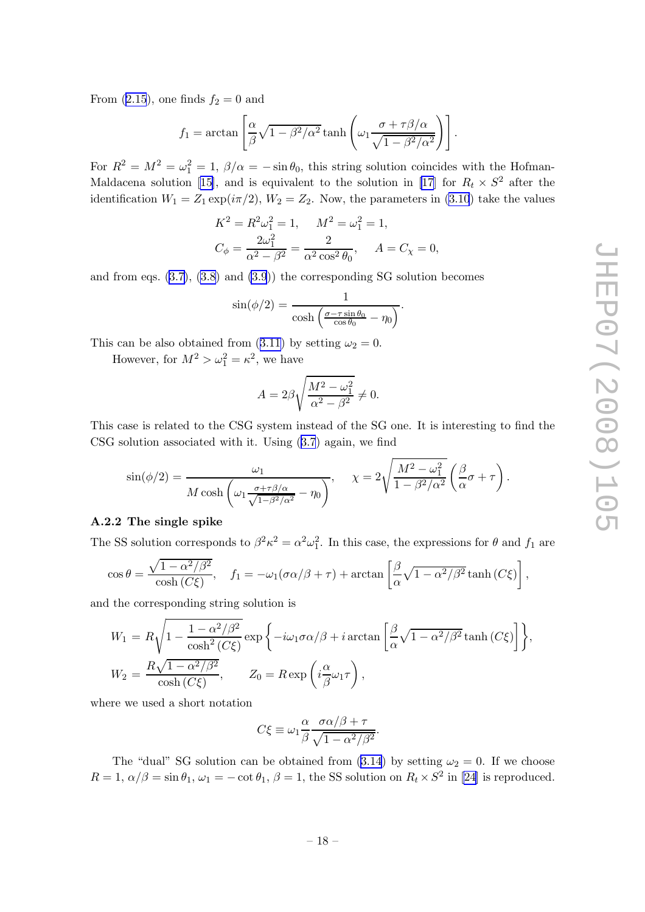<span id="page-18-0"></span>From [\(2.15](#page-5-0)), one finds  $f_2 = 0$  and

$$
f_1 = \arctan\left[\frac{\alpha}{\beta}\sqrt{1-\beta^2/\alpha^2}\tanh\left(\omega_1\frac{\sigma + \tau\beta/\alpha}{\sqrt{1-\beta^2/\alpha^2}}\right)\right].
$$

For  $R^2 = M^2 = \omega_1^2 = 1$ ,  $\beta/\alpha = -\sin\theta_0$ , this string solution coincides with the Hofman-Maldacenasolution [[15\]](#page-22-0), and is equivalent to the solution in [\[17\]](#page-22-0) for  $R_t \times S^2$  after the identification  $W_1 = Z_1 \exp(i\pi/2), W_2 = Z_2$ . Now, the parameters in [\(3.10](#page-7-0)) take the values

$$
K^{2} = R^{2}\omega_{1}^{2} = 1, \qquad M^{2} = \omega_{1}^{2} = 1,
$$
  

$$
C_{\phi} = \frac{2\omega_{1}^{2}}{\alpha^{2} - \beta^{2}} = \frac{2}{\alpha^{2} \cos^{2} \theta_{0}}, \qquad A = C_{\chi} = 0,
$$

and from eqs.  $(3.7), (3.8)$  $(3.7), (3.8)$  $(3.7), (3.8)$  and  $(3.9)$  $(3.9)$ ) the corresponding SG solution becomes

$$
\sin(\phi/2) = \frac{1}{\cosh\left(\frac{\sigma - \tau \sin \theta_0}{\cos \theta_0} - \eta_0\right)}.
$$

This can be also obtained from ([3.11\)](#page-8-0) by setting  $\omega_2 = 0$ .

However, for  $M^2 > \omega_1^2 = \kappa^2$ , we have

$$
A = 2\beta \sqrt{\frac{M^2 - \omega_1^2}{\alpha^2 - \beta^2}} \neq 0.
$$

This case is related to the CSG system instead of the SG one. It is interesting to find the CSG solution associated with it. Using ([3.7](#page-7-0)) again, we find

$$
\sin(\phi/2) = \frac{\omega_1}{M \cosh\left(\omega_1 \frac{\sigma + \tau \beta/\alpha}{\sqrt{1-\beta^2/\alpha^2}} - \eta_0\right)}, \quad \chi = 2\sqrt{\frac{M^2 - \omega_1^2}{1-\beta^2/\alpha^2}} \left(\frac{\beta}{\alpha}\sigma + \tau\right).
$$

#### A.2.2 The single spike

The SS solution corresponds to  $\beta^2 \kappa^2 = \alpha^2 \omega_1^2$ . In this case, the expressions for  $\theta$  and  $f_1$  are

$$
\cos \theta = \frac{\sqrt{1 - \alpha^2/\beta^2}}{\cosh(C\xi)}, \quad f_1 = -\omega_1(\sigma \alpha/\beta + \tau) + \arctan\left[\frac{\beta}{\alpha}\sqrt{1 - \alpha^2/\beta^2}\tanh(C\xi)\right],
$$

and the corresponding string solution is

$$
W_1 = R \sqrt{1 - \frac{1 - \alpha^2/\beta^2}{\cosh^2(C\xi)}} \exp \left\{-i\omega_1 \sigma \alpha/\beta + i \arctan\left[\frac{\beta}{\alpha} \sqrt{1 - \alpha^2/\beta^2} \tanh(C\xi)\right]\right\},
$$
  

$$
W_2 = \frac{R \sqrt{1 - \alpha^2/\beta^2}}{\cosh(C\xi)}, \qquad Z_0 = R \exp\left(i\frac{\alpha}{\beta}\omega_1\tau\right),
$$

where we used a short notation

$$
C\xi \equiv \omega_1 \frac{\alpha}{\beta} \frac{\sigma \alpha/\beta + \tau}{\sqrt{1 - \alpha^2/\beta^2}}.
$$

The "dual" SG solution can be obtained from ([3.14](#page-8-0)) by setting  $\omega_2 = 0$ . If we choose  $R = 1, \alpha/\beta = \sin \theta_1, \omega_1 = -\cot \theta_1, \beta = 1$ , the SS solution on  $R_t \times S^2$  in [\[24\]](#page-22-0) is reproduced.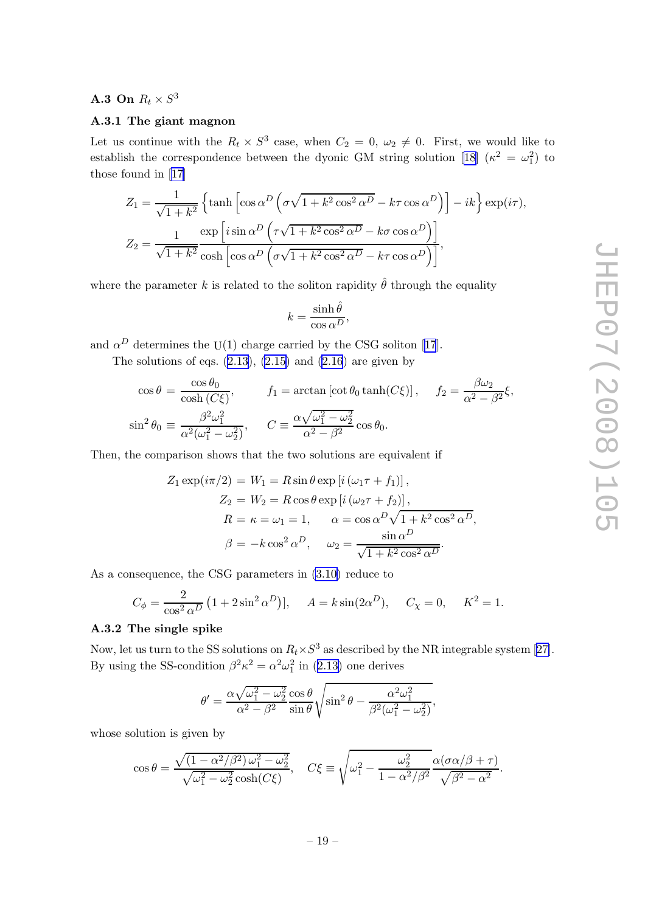## <span id="page-19-0"></span>**A.3** On  $R_t \times S^3$

## A.3.1 The giant magnon

Let us continue with the  $R_t \times S^3$  case, when  $C_2 = 0, \omega_2 \neq 0$ . First, we would like to establish the correspondence between the dyonic GM string solution [\[18\]](#page-22-0)  $(\kappa^2 = \omega_1^2)$  to those found in [\[17\]](#page-22-0)

$$
Z_1 = \frac{1}{\sqrt{1+k^2}} \left\{ \tanh \left[ \cos \alpha^D \left( \sigma \sqrt{1+k^2 \cos^2 \alpha^D} - k \tau \cos \alpha^D \right) \right] - ik \right\} \exp(i\tau),
$$
  

$$
Z_2 = \frac{1}{\sqrt{1+k^2}} \frac{\exp \left[ i \sin \alpha^D \left( \tau \sqrt{1+k^2 \cos^2 \alpha^D} - k \sigma \cos \alpha^D \right) \right]}{\cosh \left[ \cos \alpha^D \left( \sigma \sqrt{1+k^2 \cos^2 \alpha^D} - k \tau \cos \alpha^D \right) \right]},
$$

where the parameter k is related to the soliton rapidity  $\hat{\theta}$  through the equality

$$
k = \frac{\sinh \hat{\theta}}{\cos \alpha^D},
$$

and $\alpha^D$  determines the U(1) charge carried by the CSG soliton [[17](#page-22-0)].

The solutions of eqs.  $(2.13)$  $(2.13)$  $(2.13)$ ,  $(2.15)$  and  $(2.16)$  $(2.16)$  are given by

$$
\cos \theta = \frac{\cos \theta_0}{\cosh(C\xi)}, \qquad f_1 = \arctan\left[\cot \theta_0 \tanh(C\xi)\right], \qquad f_2 = \frac{\beta \omega_2}{\alpha^2 - \beta^2} \xi,
$$
  

$$
\sin^2 \theta_0 \equiv \frac{\beta^2 \omega_1^2}{\alpha^2 (\omega_1^2 - \omega_2^2)}, \qquad C \equiv \frac{\alpha \sqrt{\omega_1^2 - \omega_2^2}}{\alpha^2 - \beta^2} \cos \theta_0.
$$

Then, the comparison shows that the two solutions are equivalent if

$$
Z_1 \exp(i\pi/2) = W_1 = R \sin \theta \exp [i (\omega_1 \tau + f_1)],
$$
  
\n
$$
Z_2 = W_2 = R \cos \theta \exp [i (\omega_2 \tau + f_2)],
$$
  
\n
$$
R = \kappa = \omega_1 = 1, \qquad \alpha = \cos \alpha^D \sqrt{1 + k^2 \cos^2 \alpha^D},
$$
  
\n
$$
\beta = -k \cos^2 \alpha^D, \qquad \omega_2 = \frac{\sin \alpha^D}{\sqrt{1 + k^2 \cos^2 \alpha^D}}.
$$

As a consequence, the CSG parameters in [\(3.10\)](#page-7-0) reduce to

$$
C_{\phi} = \frac{2}{\cos^2 \alpha^D} (1 + 2\sin^2 \alpha^D)
$$
,  $A = k \sin(2\alpha^D)$ ,  $C_{\chi} = 0$ ,  $K^2 = 1$ .

#### A.3.2 The single spike

Now,let us turn to the SS solutions on  $R_t \times S^3$  as described by the NR integrable system [[27\]](#page-22-0). By using the SS-condition  $\beta^2 \kappa^2 = \alpha^2 \omega_1^2$  in ([2.13\)](#page-5-0) one derives

$$
\theta' = \frac{\alpha \sqrt{\omega_1^2 - \omega_2^2} \cos \theta}{\alpha^2 - \beta^2} \frac{\cos \theta}{\sin \theta} \sqrt{\sin^2 \theta - \frac{\alpha^2 \omega_1^2}{\beta^2 (\omega_1^2 - \omega_2^2)}},
$$

whose solution is given by

$$
\cos \theta = \frac{\sqrt{(1 - \alpha^2/\beta^2)\,\omega_1^2 - \omega_2^2}}{\sqrt{\omega_1^2 - \omega_2^2}\cosh(C\xi)}, \quad C\xi \equiv \sqrt{\omega_1^2 - \frac{\omega_2^2}{1 - \alpha^2/\beta^2}}\frac{\alpha(\sigma\alpha/\beta + \tau)}{\sqrt{\beta^2 - \alpha^2}}.
$$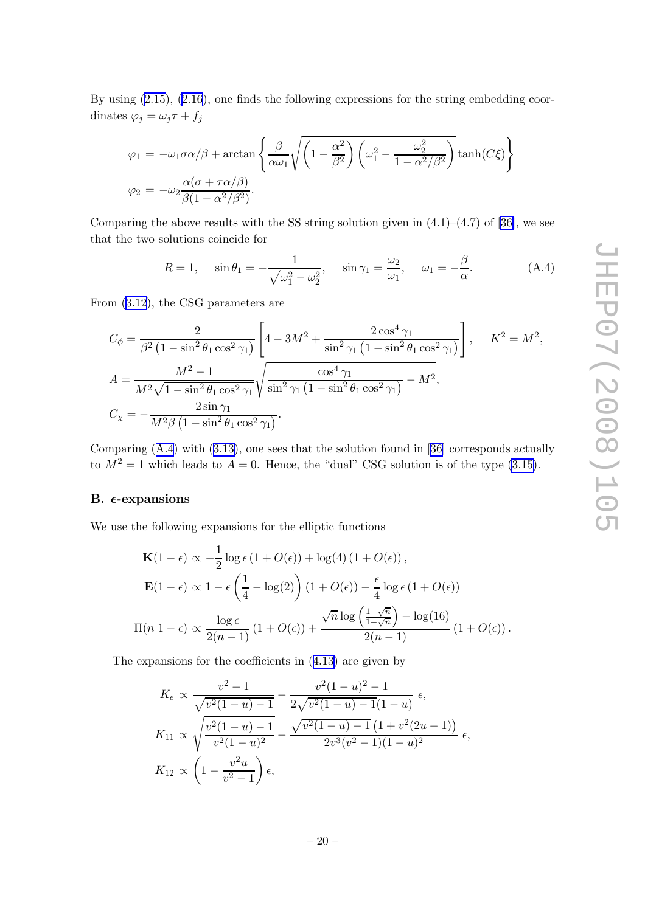<span id="page-20-0"></span>By using [\(2.15\)](#page-5-0), ([2.16](#page-5-0)), one finds the following expressions for the string embedding coordinates  $\varphi_j = \omega_j \tau + f_j$ 

$$
\varphi_1 = -\omega_1 \sigma \alpha/\beta + \arctan\left\{\frac{\beta}{\alpha \omega_1} \sqrt{\left(1 - \frac{\alpha^2}{\beta^2}\right) \left(\omega_1^2 - \frac{\omega_2^2}{1 - \alpha^2/\beta^2}\right)} \tanh(C\xi)\right\}
$$

$$
\varphi_2 = -\omega_2 \frac{\alpha(\sigma + \tau \alpha/\beta)}{\beta(1 - \alpha^2/\beta^2)}.
$$

Comparingthe above results with the SS string solution given in  $(4.1)$ – $(4.7)$  of [[36\]](#page-23-0), we see that the two solutions coincide for

$$
R = 1, \quad \sin \theta_1 = -\frac{1}{\sqrt{\omega_1^2 - \omega_2^2}}, \quad \sin \gamma_1 = \frac{\omega_2}{\omega_1}, \quad \omega_1 = -\frac{\beta}{\alpha}.
$$
 (A.4)

From [\(3.12](#page-8-0)), the CSG parameters are

$$
C_{\phi} = \frac{2}{\beta^2 \left(1 - \sin^2 \theta_1 \cos^2 \gamma_1\right)} \left[4 - 3M^2 + \frac{2 \cos^4 \gamma_1}{\sin^2 \gamma_1 \left(1 - \sin^2 \theta_1 \cos^2 \gamma_1\right)}\right], \quad K^2 = M^2,
$$
  

$$
A = \frac{M^2 - 1}{M^2 \sqrt{1 - \sin^2 \theta_1 \cos^2 \gamma_1}} \sqrt{\frac{\cos^4 \gamma_1}{\sin^2 \gamma_1 \left(1 - \sin^2 \theta_1 \cos^2 \gamma_1\right)}} - M^2,
$$
  

$$
C_{\chi} = -\frac{2 \sin \gamma_1}{M^2 \beta \left(1 - \sin^2 \theta_1 \cos^2 \gamma_1\right)}.
$$

Comparing (A.4) with ([3.13](#page-8-0)), one sees that the solution found in [\[36\]](#page-23-0) corresponds actually to  $M^2 = 1$  which leads to  $A = 0$ . Hence, the "dual" CSG solution is of the type [\(3.15\)](#page-9-0).

### B.  $\epsilon$ -expansions

We use the following expansions for the elliptic functions

$$
\mathbf{K}(1-\epsilon) \propto -\frac{1}{2}\log\epsilon (1+O(\epsilon)) + \log(4) (1+O(\epsilon)),
$$
  

$$
\mathbf{E}(1-\epsilon) \propto 1 - \epsilon \left(\frac{1}{4} - \log(2)\right) (1+O(\epsilon)) - \frac{\epsilon}{4}\log\epsilon (1+O(\epsilon))
$$
  

$$
\Pi(n|1-\epsilon) \propto \frac{\log\epsilon}{2(n-1)} (1+O(\epsilon)) + \frac{\sqrt{n}\log\left(\frac{1+\sqrt{n}}{1-\sqrt{n}}\right) - \log(16)}{2(n-1)} (1+O(\epsilon)).
$$

The expansions for the coefficients in ([4.13\)](#page-15-0) are given by

$$
K_e \propto \frac{v^2 - 1}{\sqrt{v^2(1 - u) - 1}} - \frac{v^2(1 - u)^2 - 1}{2\sqrt{v^2(1 - u) - 1}(1 - u)} \epsilon,
$$
  
\n
$$
K_{11} \propto \sqrt{\frac{v^2(1 - u) - 1}{v^2(1 - u)^2}} - \frac{\sqrt{v^2(1 - u) - 1}(1 + v^2(2u - 1))}{2v^3(v^2 - 1)(1 - u)^2} \epsilon,
$$
  
\n
$$
K_{12} \propto \left(1 - \frac{v^2u}{v^2 - 1}\right)\epsilon,
$$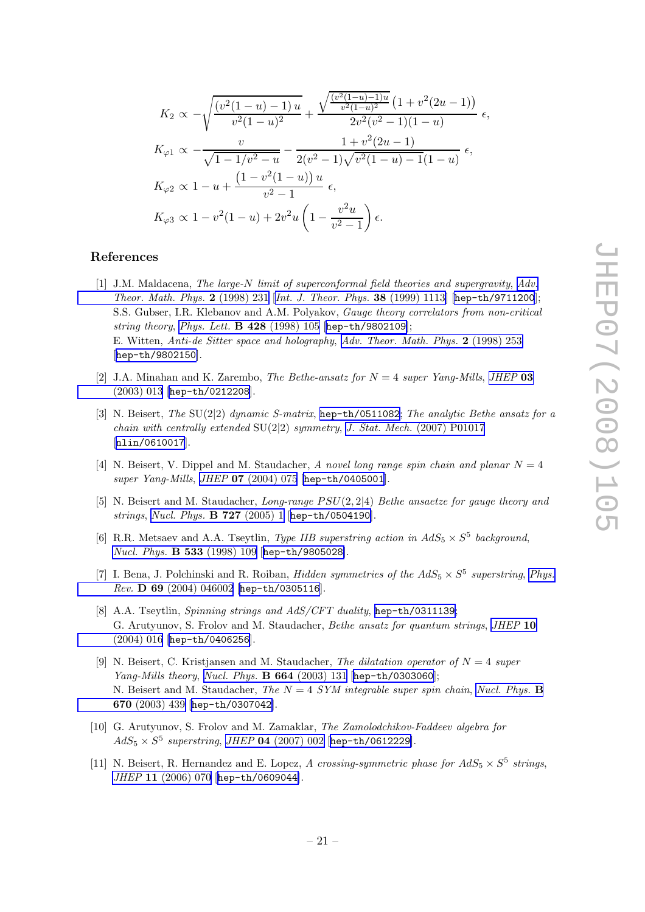<span id="page-21-0"></span>
$$
K_2 \propto -\sqrt{\frac{(v^2(1-u)-1)u}{v^2(1-u)^2} + \frac{\sqrt{\frac{(v^2(1-u)-1)u}{v^2(1-u)^2}} \left(1+v^2(2u-1)\right)}{2v^2(v^2-1)(1-u)}} \epsilon,
$$
  
\n
$$
K_{\varphi 1} \propto -\frac{v}{\sqrt{1-1/v^2-u}} - \frac{1+v^2(2u-1)}{2(v^2-1)\sqrt{v^2(1-u)-1}(1-u)} \epsilon,
$$
  
\n
$$
K_{\varphi 2} \propto 1 - u + \frac{\left(1-v^2(1-u)\right)u}{v^2-1} \epsilon,
$$
  
\n
$$
K_{\varphi 3} \propto 1 - v^2(1-u) + 2v^2u\left(1 - \frac{v^2u}{v^2-1}\right)\epsilon.
$$

## References

- [1] J.M. Maldacena, The large-N limit of superconformal field theories and supergravity, [Adv.](http://www-spires.slac.stanford.edu/spires/find/hep/www?j=00203%2C2%2C231) [Theor. Math. Phys.](http://www-spires.slac.stanford.edu/spires/find/hep/www?j=00203%2C2%2C231) 2 (1998) 231 [[Int. J. Theor. Phys.](http://www-spires.slac.stanford.edu/spires/find/hep/www?j=IJTPB%2C38%2C1113) 38 (1999) 1113] [[hep-th/9711200](http://arxiv.org/abs/hep-th/9711200)]; S.S. Gubser, I.R. Klebanov and A.M. Polyakov, Gauge theory correlators from non-critical string theory, [Phys. Lett.](http://www-spires.slac.stanford.edu/spires/find/hep/www?j=PHLTA%2CB428%2C105) B 428 (1998) 105 [[hep-th/9802109](http://arxiv.org/abs/hep-th/9802109)]; E. Witten, Anti-de Sitter space and holography, [Adv. Theor. Math. Phys.](http://www-spires.slac.stanford.edu/spires/find/hep/www?j=00203%2C2%2C253) 2 (1998) 253 [[hep-th/9802150](http://arxiv.org/abs/hep-th/9802150)].
- [2] J.A. Minahan and K. Zarembo, *The Bethe-ansatz for*  $N = 4$  super Yang-Mills, *[JHEP](http://jhep.sissa.it/stdsearch?paper=03%282003%29013)* 03 [\(2003\) 013](http://jhep.sissa.it/stdsearch?paper=03%282003%29013) [[hep-th/0212208](http://arxiv.org/abs/hep-th/0212208)].
- [3] N. Beisert, The SU(2|2) dynamic S-matrix, [hep-th/0511082](http://arxiv.org/abs/hep-th/0511082); The analytic Bethe ansatz for a chain with centrally extended  $SU(2|2)$  symmetry, J. Stat. Mech. [\(2007\) P01017](http://www-spires.slac.stanford.edu/spires/find/hep/www?j=JSTAT%2C0701%2CP017) [[nlin/0610017](http://arxiv.org/abs/nlin/0610017)].
- [4] N. Beisert, V. Dippel and M. Staudacher, A novel long range spin chain and planar  $N = 4$ super Yang-Mills, JHEP 07 [\(2004\) 075](http://jhep.sissa.it/stdsearch?paper=07%282004%29075) [[hep-th/0405001](http://arxiv.org/abs/hep-th/0405001)].
- [5] N. Beisert and M. Staudacher, Long-range PSU(2, 2|4) Bethe ansaetze for gauge theory and strings, [Nucl. Phys.](http://www-spires.slac.stanford.edu/spires/find/hep/www?j=NUPHA%2CB727%2C1) B 727 (2005) 1 [[hep-th/0504190](http://arxiv.org/abs/hep-th/0504190)].
- [6] R.R. Metsaev and A.A. Tseytlin, *Type IIB superstring action in*  $AdS_5 \times S^5$  *background*, [Nucl. Phys.](http://www-spires.slac.stanford.edu/spires/find/hep/www?j=NUPHA%2CB533%2C109) B 533 (1998) 109 [[hep-th/9805028](http://arxiv.org/abs/hep-th/9805028)].
- [7] I. Bena, J. Polchinski and R. Roiban, *Hidden symmetries of the*  $AdS_5 \times S^5$  *superstring, [Phys.](http://www-spires.slac.stanford.edu/spires/find/hep/www?j=PHRVA%2CD69%2C046002)* Rev. D 69 [\(2004\) 046002](http://www-spires.slac.stanford.edu/spires/find/hep/www?j=PHRVA%2CD69%2C046002) [[hep-th/0305116](http://arxiv.org/abs/hep-th/0305116)].
- [8] A.A. Tseytlin, Spinning strings and AdS/CFT duality, [hep-th/0311139](http://arxiv.org/abs/hep-th/0311139); G. Arutyunov, S. Frolov and M. Staudacher, *Bethe ansatz for quantum strings, [JHEP](http://jhep.sissa.it/stdsearch?paper=10%282004%29016)* 10 [\(2004\) 016](http://jhep.sissa.it/stdsearch?paper=10%282004%29016) [[hep-th/0406256](http://arxiv.org/abs/hep-th/0406256)].
- [9] N. Beisert, C. Kristjansen and M. Staudacher, The dilatation operator of  $N = 4$  super Yang-Mills theory, [Nucl. Phys.](http://www-spires.slac.stanford.edu/spires/find/hep/www?j=NUPHA%2CB664%2C131) B 664 (2003) 131 [[hep-th/0303060](http://arxiv.org/abs/hep-th/0303060)]; N. Beisert and M. Staudacher, The  $N = 4$  SYM integrable super spin chain, [Nucl. Phys.](http://www-spires.slac.stanford.edu/spires/find/hep/www?j=NUPHA%2CB670%2C439) B 670 [\(2003\) 439](http://www-spires.slac.stanford.edu/spires/find/hep/www?j=NUPHA%2CB670%2C439) [[hep-th/0307042](http://arxiv.org/abs/hep-th/0307042)].
- [10] G. Arutyunov, S. Frolov and M. Zamaklar, The Zamolodchikov-Faddeev algebra for  $AdS_5 \times S^5$  superstring, JHEP 04 [\(2007\) 002](http://jhep.sissa.it/stdsearch?paper=04%282007%29002) [[hep-th/0612229](http://arxiv.org/abs/hep-th/0612229)].
- [11] N. Beisert, R. Hernandez and E. Lopez, A crossing-symmetric phase for  $AdS_5 \times S^5$  strings, JHEP 11 [\(2006\) 070](http://jhep.sissa.it/stdsearch?paper=11%282006%29070) [[hep-th/0609044](http://arxiv.org/abs/hep-th/0609044)].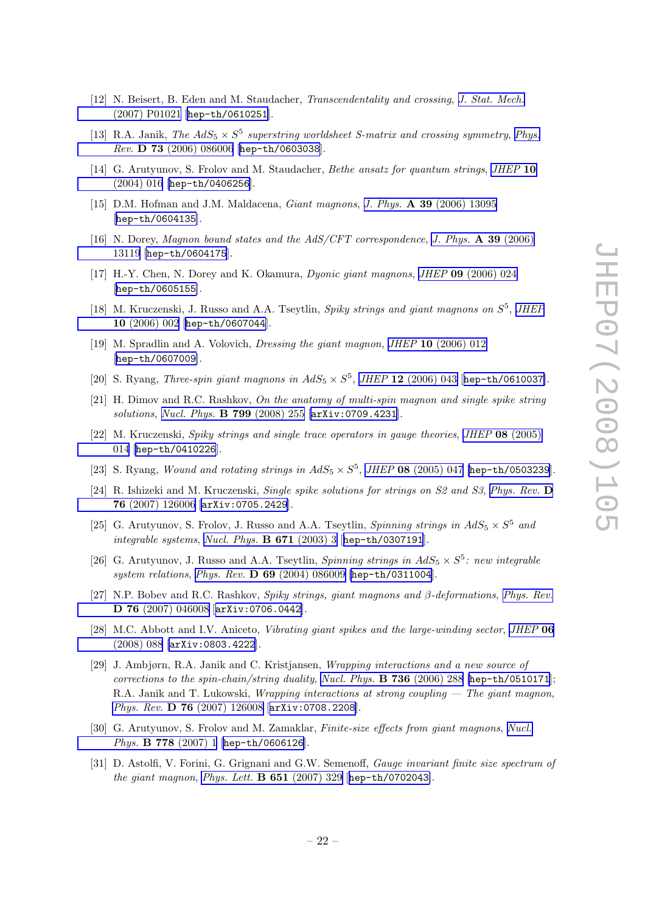- <span id="page-22-0"></span>[12] N. Beisert, B. Eden and M. Staudacher, Transcendentality and crossing, [J. Stat. Mech.](http://www-spires.slac.stanford.edu/spires/find/hep/www?j=JSTAT%2C0701%2CP021) [\(2007\) P01021](http://www-spires.slac.stanford.edu/spires/find/hep/www?j=JSTAT%2C0701%2CP021) [[hep-th/0610251](http://arxiv.org/abs/hep-th/0610251)].
- [13] R.A. Janik, The  $AdS_5 \times S^5$  superstring worldsheet S-matrix and crossing symmetry, [Phys.](http://www-spires.slac.stanford.edu/spires/find/hep/www?j=PHRVA%2CD73%2C086006) Rev. D 73 [\(2006\) 086006](http://www-spires.slac.stanford.edu/spires/find/hep/www?j=PHRVA%2CD73%2C086006) [[hep-th/0603038](http://arxiv.org/abs/hep-th/0603038)].
- [14] G. Arutyunov, S. Frolov and M. Staudacher, Bethe ansatz for quantum strings, [JHEP](http://jhep.sissa.it/stdsearch?paper=10%282004%29016) 10 [\(2004\) 016](http://jhep.sissa.it/stdsearch?paper=10%282004%29016) [[hep-th/0406256](http://arxiv.org/abs/hep-th/0406256)].
- [15] D.M. Hofman and J.M. Maldacena, Giant magnons, J. Phys. A 39 [\(2006\) 13095](http://www-spires.slac.stanford.edu/spires/find/hep/www?j=JPAGB%2CA39%2C13095) [[hep-th/0604135](http://arxiv.org/abs/hep-th/0604135)].
- [16] N. Dorey, Magnon bound states and the AdS/CFT correspondence, [J. Phys.](http://www-spires.slac.stanford.edu/spires/find/hep/www?j=JPAGB%2CA39%2C13119) A 39 (2006) [13119](http://www-spires.slac.stanford.edu/spires/find/hep/www?j=JPAGB%2CA39%2C13119) [[hep-th/0604175](http://arxiv.org/abs/hep-th/0604175)].
- [17] H.-Y. Chen, N. Dorey and K. Okamura, Dyonic giant magnons, JHEP 09 [\(2006\) 024](http://jhep.sissa.it/stdsearch?paper=09%282006%29024) [[hep-th/0605155](http://arxiv.org/abs/hep-th/0605155)].
- [18] M. Kruczenski, J. Russo and A.A. Tseytlin, Spiky strings and giant magnons on  $S^5$ , [JHEP](http://jhep.sissa.it/stdsearch?paper=10%282006%29002) 10 [\(2006\) 002](http://jhep.sissa.it/stdsearch?paper=10%282006%29002) [[hep-th/0607044](http://arxiv.org/abs/hep-th/0607044)].
- [19] M. Spradlin and A. Volovich, Dressing the giant magnon, JHEP 10 [\(2006\) 012](http://jhep.sissa.it/stdsearch?paper=10%282006%29012) [[hep-th/0607009](http://arxiv.org/abs/hep-th/0607009)].
- [20] S. Ryang, *Three-spin giant magnons in*  $AdS_5 \times S^5$ *, JHEP* 12 [\(2006\) 043](http://jhep.sissa.it/stdsearch?paper=12%282006%29043) [[hep-th/0610037](http://arxiv.org/abs/hep-th/0610037)].
- [21] H. Dimov and R.C. Rashkov, On the anatomy of multi-spin magnon and single spike string solutions, [Nucl. Phys.](http://www-spires.slac.stanford.edu/spires/find/hep/www?j=NUPHA%2CB799%2C255) B 799 (2008) 255 [[arXiv:0709.4231](http://arxiv.org/abs/0709.4231)].
- [22] M. Kruczenski, Spiky strings and single trace operators in gauge theories, JHEP 08 [\(2005\)](http://jhep.sissa.it/stdsearch?paper=08%282005%29014) [014](http://jhep.sissa.it/stdsearch?paper=08%282005%29014) [[hep-th/0410226](http://arxiv.org/abs/hep-th/0410226)].
- [23] S. Ryang, Wound and rotating strings in  $AdS_5 \times S^5$ , JHEP 08 [\(2005\) 047](http://jhep.sissa.it/stdsearch?paper=08%282005%29047) [[hep-th/0503239](http://arxiv.org/abs/hep-th/0503239)].
- [24] R. Ishizeki and M. Kruczenski, Single spike solutions for strings on S2 and S3, [Phys. Rev.](http://www-spires.slac.stanford.edu/spires/find/hep/www?j=PHRVA%2CD76%2C126006) D 76 [\(2007\) 126006](http://www-spires.slac.stanford.edu/spires/find/hep/www?j=PHRVA%2CD76%2C126006) [[arXiv:0705.2429](http://arxiv.org/abs/0705.2429)].
- [25] G. Arutyunov, S. Frolov, J. Russo and A.A. Tseytlin, *Spinning strings in*  $AdS_5 \times S^5$  *and* integrable systems, [Nucl. Phys.](http://www-spires.slac.stanford.edu/spires/find/hep/www?j=NUPHA%2CB671%2C3) B 671 (2003) 3 [[hep-th/0307191](http://arxiv.org/abs/hep-th/0307191)].
- [26] G. Arutyunov, J. Russo and A.A. Tseytlin, *Spinning strings in*  $AdS_5 \times S^5$ *: new integrable* system relations, Phys. Rev. D 69 [\(2004\) 086009](http://www-spires.slac.stanford.edu/spires/find/hep/www?j=PHRVA%2CD69%2C086009) [[hep-th/0311004](http://arxiv.org/abs/hep-th/0311004)].
- [27] N.P. Bobev and R.C. Rashkov, Spiky strings, giant magnons and β-deformations, [Phys. Rev.](http://www-spires.slac.stanford.edu/spires/find/hep/www?j=PHRVA%2CD76%2C046008) D 76 [\(2007\) 046008](http://www-spires.slac.stanford.edu/spires/find/hep/www?j=PHRVA%2CD76%2C046008) [[arXiv:0706.0442](http://arxiv.org/abs/0706.0442)].
- [28] M.C. Abbott and I.V. Aniceto, Vibrating giant spikes and the large-winding sector, [JHEP](http://jhep.sissa.it/stdsearch?paper=06%282008%29088) 06 [\(2008\) 088](http://jhep.sissa.it/stdsearch?paper=06%282008%29088) [[arXiv:0803.4222](http://arxiv.org/abs/0803.4222)].
- [29] J. Ambjørn, R.A. Janik and C. Kristjansen, Wrapping interactions and a new source of corrections to the spin-chain/string duality, [Nucl. Phys.](http://www-spires.slac.stanford.edu/spires/find/hep/www?j=NUPHA%2CB736%2C288)  $\bf{B}$  736 (2006) 288 [[hep-th/0510171](http://arxiv.org/abs/hep-th/0510171)]; R.A. Janik and T. Lukowski, Wrapping interactions at strong coupling — The giant magnon, Phys. Rev. D 76 [\(2007\) 126008](http://www-spires.slac.stanford.edu/spires/find/hep/www?j=PHRVA%2CD76%2C126008) [[arXiv:0708.2208](http://arxiv.org/abs/0708.2208)].
- [30] G. Arutyunov, S. Frolov and M. Zamaklar, Finite-size effects from giant magnons, [Nucl.](http://www-spires.slac.stanford.edu/spires/find/hep/www?j=NUPHA%2CB778%2C1) Phys. **B 778** [\(2007\) 1](http://www-spires.slac.stanford.edu/spires/find/hep/www?j=NUPHA%2CB778%2C1) [[hep-th/0606126](http://arxiv.org/abs/hep-th/0606126)].
- [31] D. Astolfi, V. Forini, G. Grignani and G.W. Semenoff, *Gauge invariant finite size spectrum of* the giant magnon, [Phys. Lett.](http://www-spires.slac.stanford.edu/spires/find/hep/www?j=PHLTA%2CB651%2C329) B 651 (2007) 329 [[hep-th/0702043](http://arxiv.org/abs/hep-th/0702043)].